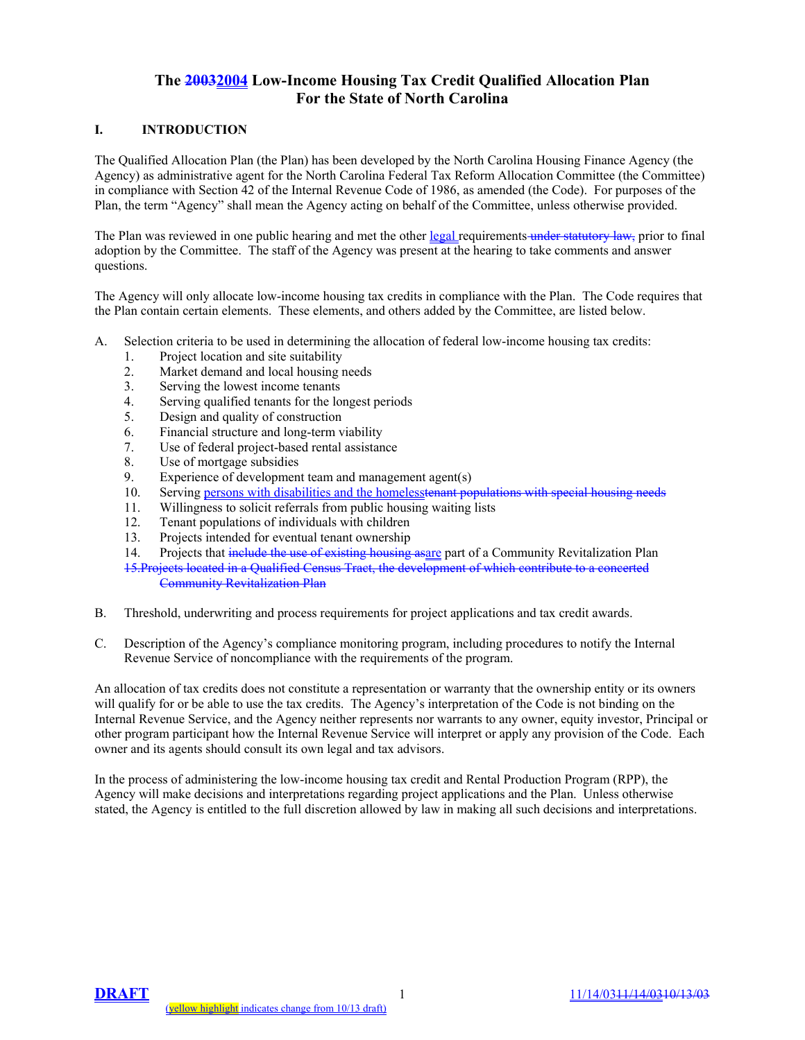# **The 20032004 Low-Income Housing Tax Credit Qualified Allocation Plan For the State of North Carolina**

## **I. INTRODUCTION**

The Qualified Allocation Plan (the Plan) has been developed by the North Carolina Housing Finance Agency (the Agency) as administrative agent for the North Carolina Federal Tax Reform Allocation Committee (the Committee) in compliance with Section 42 of the Internal Revenue Code of 1986, as amended (the Code). For purposes of the Plan, the term "Agency" shall mean the Agency acting on behalf of the Committee, unless otherwise provided.

The Plan was reviewed in one public hearing and met the other legal requirements under statutory law, prior to final adoption by the Committee. The staff of the Agency was present at the hearing to take comments and answer questions.

The Agency will only allocate low-income housing tax credits in compliance with the Plan. The Code requires that the Plan contain certain elements. These elements, and others added by the Committee, are listed below.

- A. Selection criteria to be used in determining the allocation of federal low-income housing tax credits:
	- 1. Project location and site suitability
	- 2. Market demand and local housing needs
	- 3. Serving the lowest income tenants
	- 4. Serving qualified tenants for the longest periods
	- 5. Design and quality of construction
	- 6. Financial structure and long-term viability
	- 7. Use of federal project-based rental assistance
	- 8. Use of mortgage subsidies
	- 9. Experience of development team and management agent(s)
	- 10. Serving persons with disabilities and the homelesstenant populations with special housing needs
	- 11. Willingness to solicit referrals from public housing waiting lists<br>12. Tenant populations of individuals with children
	- Tenant populations of individuals with children
	- 13. Projects intended for eventual tenant ownership
	- 14. Projects that include the use of existing housing asare part of a Community Revitalization Plan

15.Projects located in a Qualified Census Tract, the development of which contribute to a concerted Community Revitalization Plan

- B. Threshold, underwriting and process requirements for project applications and tax credit awards.
- C. Description of the Agency's compliance monitoring program, including procedures to notify the Internal Revenue Service of noncompliance with the requirements of the program.

An allocation of tax credits does not constitute a representation or warranty that the ownership entity or its owners will qualify for or be able to use the tax credits. The Agency's interpretation of the Code is not binding on the Internal Revenue Service, and the Agency neither represents nor warrants to any owner, equity investor, Principal or other program participant how the Internal Revenue Service will interpret or apply any provision of the Code. Each owner and its agents should consult its own legal and tax advisors.

In the process of administering the low-income housing tax credit and Rental Production Program (RPP), the Agency will make decisions and interpretations regarding project applications and the Plan. Unless otherwise stated, the Agency is entitled to the full discretion allowed by law in making all such decisions and interpretations.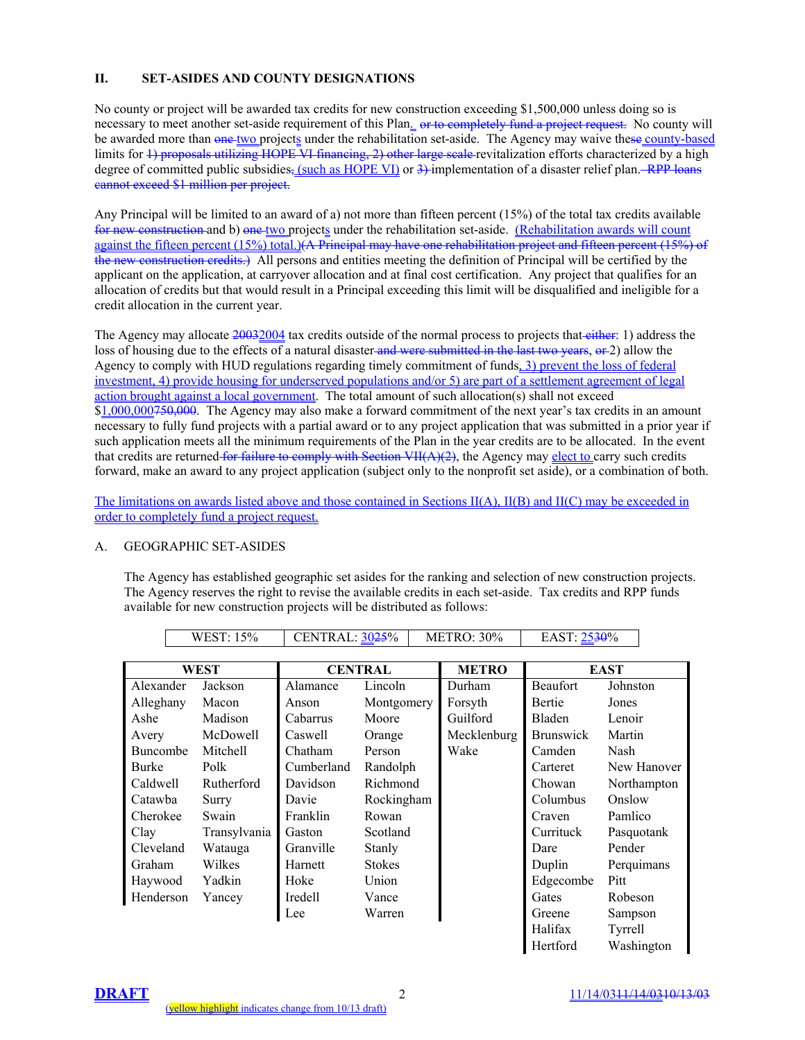# **II. SET-ASIDES AND COUNTY DESIGNATIONS**

No county or project will be awarded tax credits for new construction exceeding \$1,500,000 unless doing so is necessary to meet another set-aside requirement of this Plan. or to completely fund a project request. No county will be awarded more than one two projects under the rehabilitation set-aside. The Agency may waive these county-based limits for 1) proposals utilizing HOPE VI financing, 2) other large scale revitalization efforts characterized by a high degree of committed public subsidies, (such as HOPE VI) or  $3$ ) implementation of a disaster relief plan. RPP loans cannot exceed \$1 million per project.

Any Principal will be limited to an award of a) not more than fifteen percent (15%) of the total tax credits available for new construction and b) one two projects under the rehabilitation set-aside. (Rehabilitation awards will count against the fifteen percent (15%) total.)(A Principal may have one rehabilitation project and fifteen percent (15%) of the new construction credits.) All persons and entities meeting the definition of Principal will be certified by the applicant on the application, at carryover allocation and at final cost certification. Any project that qualifies for an allocation of credits but that would result in a Principal exceeding this limit will be disqualified and ineligible for a credit allocation in the current year.

The Agency may allocate 20032004 tax credits outside of the normal process to projects that either: 1) address the loss of housing due to the effects of a natural disaster and were submitted in the last two years, or 2) allow the Agency to comply with HUD regulations regarding timely commitment of funds, 3) prevent the loss of federal investment, 4) provide housing for underserved populations and/or 5) are part of a settlement agreement of legal action brought against a local government. The total amount of such allocation(s) shall not exceed \$1,000,000750,000. The Agency may also make a forward commitment of the next year's tax credits in an amount necessary to fully fund projects with a partial award or to any project application that was submitted in a prior year if such application meets all the minimum requirements of the Plan in the year credits are to be allocated. In the event that credits are returned for failure to comply with Section  $VII(A)(2)$ , the Agency may elect to carry such credits forward, make an award to any project application (subject only to the nonprofit set aside), or a combination of both.

The limitations on awards listed above and those contained in Sections II(A), II(B) and II(C) may be exceeded in order to completely fund a project request.

## A. GEOGRAPHIC SET-ASIDES

The Agency has established geographic set asides for the ranking and selection of new construction projects. The Agency reserves the right to revise the available credits in each set-aside. Tax credits and RPP funds available for new construction projects will be distributed as follows:

| WEST            |              | <b>CENTRAL</b>  |               | <b>METRO</b> | <b>EAST</b>      |                |
|-----------------|--------------|-----------------|---------------|--------------|------------------|----------------|
| Alexander       | Jackson      | Alamance        | Lincoln       | Durham       | <b>Beaufort</b>  | Johnston       |
| Alleghany       | Macon        | Anson           | Montgomery    | Forsyth      | <b>Bertie</b>    | Jones          |
| Ashe            | Madison      | <b>Cabarrus</b> | Moore         | Guilford     | <b>Bladen</b>    | Lenoir         |
| Avery           | McDowell     | Caswell         | Orange        | Mecklenburg  | <b>Brunswick</b> | Martin         |
| <b>Buncombe</b> | Mitchell     | Chatham         | Person        | Wake         | Camden           | Nash           |
| <b>Burke</b>    | Polk         | Cumberland      | Randolph      |              | Carteret         | New Hanover    |
| Caldwell        | Rutherford   | Davidson        | Richmond      |              | Chowan           | Northampton    |
| Catawba         | Surry        | Davie           | Rockingham    |              | Columbus         | Onslow         |
| Cherokee        | Swain        | Franklin        | Rowan         |              | Craven           | Pamlico        |
| Clay            | Transylvania | Gaston          | Scotland      |              | Currituck        | Pasquotank     |
| Cleveland       | Watauga      | Granville       | Stanly        |              | Dare             | Pender         |
| <b>Graham</b>   | Wilkes       | Harnett         | <b>Stokes</b> |              | Duplin           | Perquimans     |
| Haywood         | Yadkin       | Hoke            | Union         |              | Edgecombe        | Pitt           |
| Henderson       | Yancey       | <b>Iredell</b>  | Vance         |              | Gates            | <b>Robeson</b> |
|                 |              | Lee             | Warren        |              | Greene           | Sampson        |
|                 |              |                 |               |              | Halifax          | Tyrrell        |

WEST: 15% CENTRAL: 3025% METRO: 30% EAST: 2530%

Hertford Washington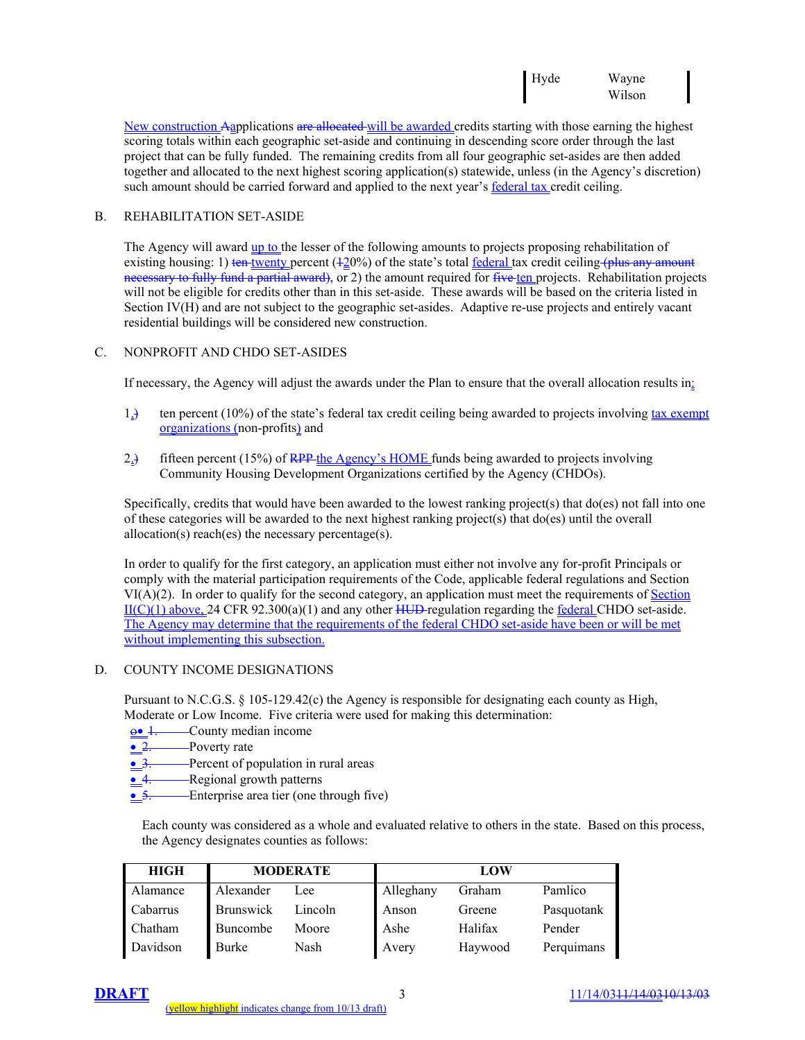New construction Aapplications are allocated will be awarded credits starting with those earning the highest scoring totals within each geographic set-aside and continuing in descending score order through the last project that can be fully funded. The remaining credits from all four geographic set-asides are then added together and allocated to the next highest scoring application(s) statewide, unless (in the Agency's discretion) such amount should be carried forward and applied to the next year's <u>federal tax</u> credit ceiling.

# B. REHABILITATION SET-ASIDE

The Agency will award up to the lesser of the following amounts to projects proposing rehabilitation of existing housing: 1) ten twenty percent  $(120%)$  of the state's total federal tax credit ceiling (plus any amount necessary to fully fund a partial award), or 2) the amount required for five ten projects. Rehabilitation projects will not be eligible for credits other than in this set-aside. These awards will be based on the criteria listed in Section IV(H) and are not subject to the geographic set-asides. Adaptive re-use projects and entirely vacant residential buildings will be considered new construction.

## C. NONPROFIT AND CHDO SET-ASIDES

If necessary, the Agency will adjust the awards under the Plan to ensure that the overall allocation results in:

- 1.) ten percent (10%) of the state's federal tax credit ceiling being awarded to projects involving tax exempt organizations (non-profits) and
- 2.) fifteen percent (15%) of RPP the Agency's HOME funds being awarded to projects involving Community Housing Development Organizations certified by the Agency (CHDOs).

Specifically, credits that would have been awarded to the lowest ranking project(s) that do(es) not fall into one of these categories will be awarded to the next highest ranking project(s) that do(es) until the overall allocation(s) reach(es) the necessary percentage(s).

In order to qualify for the first category, an application must either not involve any for-profit Principals or comply with the material participation requirements of the Code, applicable federal regulations and Section  $VI(A)(2)$ . In order to qualify for the second category, an application must meet the requirements of Section  $II(C)(1)$  above, 24 CFR 92.300(a)(1) and any other HUD-regulation regarding the federal CHDO set-aside. The Agency may determine that the requirements of the federal CHDO set-aside have been or will be met without implementing this subsection.

## D. COUNTY INCOME DESIGNATIONS

Pursuant to N.C.G.S. § 105-129.42(c) the Agency is responsible for designating each county as High, Moderate or Low Income. Five criteria were used for making this determination:

- ο• 1. County median income
- 2. Poverty rate
- 3. Percent of population in rural areas
- 4. Regional growth patterns
- 5. Enterprise area tier (one through five)

Each county was considered as a whole and evaluated relative to others in the state. Based on this process, the Agency designates counties as follows:

| <b>HIGH</b> | <b>MODERATE</b>  |         | LOW       |         |            |
|-------------|------------------|---------|-----------|---------|------------|
| Alamance    | Alexander        | Lee     | Alleghany | Graham  | Pamlico    |
| Cabarrus    | <b>Brunswick</b> | Lincoln | Anson     | Greene  | Pasquotank |
| Chatham     | Buncombe         | Moore   | Ashe      | Halifax | Pender     |
| Davidson    | Burke            | Nash    | Avery     | Haywood | Perquimans |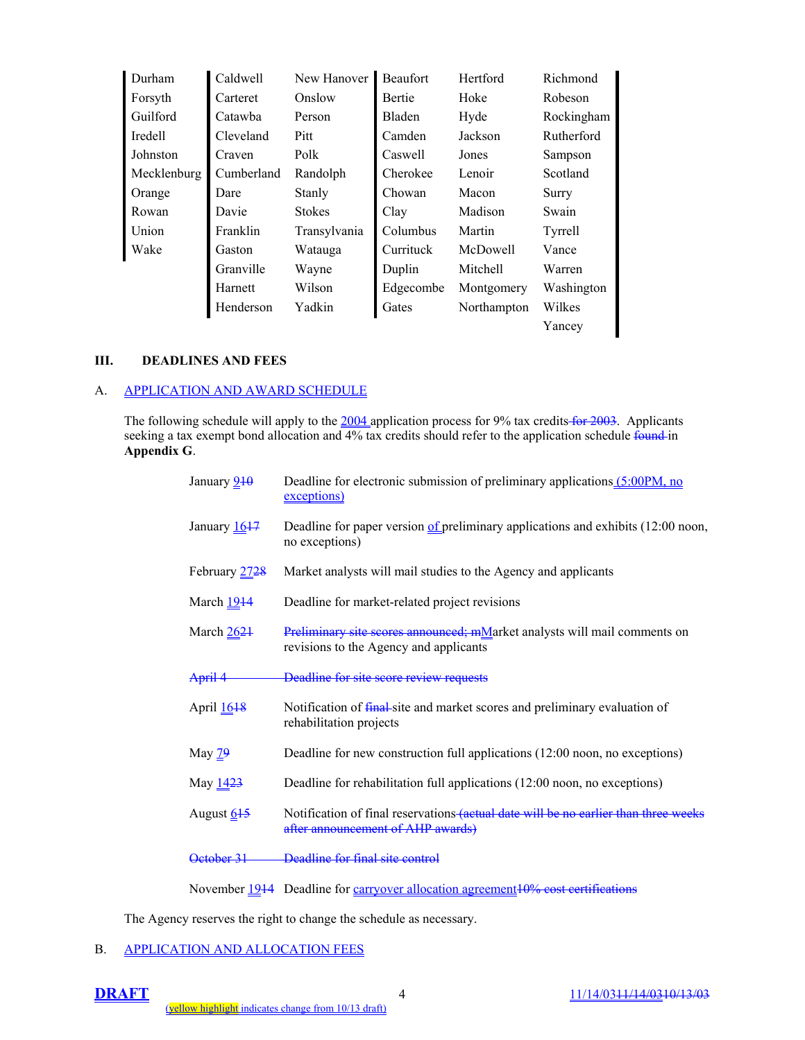| Durham      | Caldwell           | New Hanover   | <b>Beaufort</b> | Hertford    | Richmond   |
|-------------|--------------------|---------------|-----------------|-------------|------------|
| Forsyth     | Carteret           | Onslow        | Bertie          | Hoke        | Robeson    |
| Guilford    | Catawha            | Person        | Bladen          | Hyde        | Rockingham |
| Iredell     | Cleveland          | Pitt          | Camden          | Jackson     | Rutherford |
| Johnston    | Craven             | Polk          | Caswell         | Jones       | Sampson    |
| Mecklenburg | Cumberland         | Randolph      | Cherokee        | Lenoir      | Scotland   |
| Orange      | Dare               | Stanly        | Chowan          | Macon       | Surry      |
| Rowan       | Davie              | <b>Stokes</b> | Clay            | Madison     | Swain      |
| Union       | Franklin           | Transylvania  | Columbus        | Martin      | Tyrrell    |
| Wake        | Gaston             | Watauga       | Currituck       | McDowell    | Vance      |
|             | Granville<br>Wayne |               | Duplin          | Mitchell    | Warren     |
|             | Harnett            | Wilson        | Edgecombe       | Montgomery  | Washington |
|             | Henderson          | Yadkin        | Gates           | Northampton | Wilkes     |
|             |                    |               |                 |             | Yancey     |

#### **III. DEADLINES AND FEES**

# A. APPLICATION AND AWARD SCHEDULE

The following schedule will apply to the  $\frac{2004}{2}$  application process for 9% tax credits for 2003. Applicants seeking a tax exempt bond allocation and 4% tax credits should refer to the application schedule found in **Appendix G**.

| January 210            | Deadline for electronic submission of preliminary applications (5:00PM, no<br>exceptions)                                |
|------------------------|--------------------------------------------------------------------------------------------------------------------------|
| January 1647           | Deadline for paper version of preliminary applications and exhibits $(12:00 \text{ noon},$<br>no exceptions)             |
| February 2728          | Market analysts will mail studies to the Agency and applicants                                                           |
| March $1914$           | Deadline for market-related project revisions                                                                            |
| March $2621$           | Preliminary site scores announced; mMarket analysts will mail comments on<br>revisions to the Agency and applicants      |
| April 4                | Deadline for site score review requests                                                                                  |
| April 16 <sup>18</sup> | Notification of final-site and market scores and preliminary evaluation of<br>rehabilitation projects                    |
| May $29$               | Deadline for new construction full applications (12:00 noon, no exceptions)                                              |
| May 1423               | Deadline for rehabilitation full applications (12:00 noon, no exceptions)                                                |
| August 645             | Notification of final reservations (actual date will be no earlier than three weeks<br>after announcement of AHP awards) |
| <u> Jetober 31</u>     | Deadline for final site control                                                                                          |
|                        |                                                                                                                          |

November 1944 Deadline for carryover allocation agreement 10% cost certifications

The Agency reserves the right to change the schedule as necessary.

# B. APPLICATION AND ALLOCATION FEES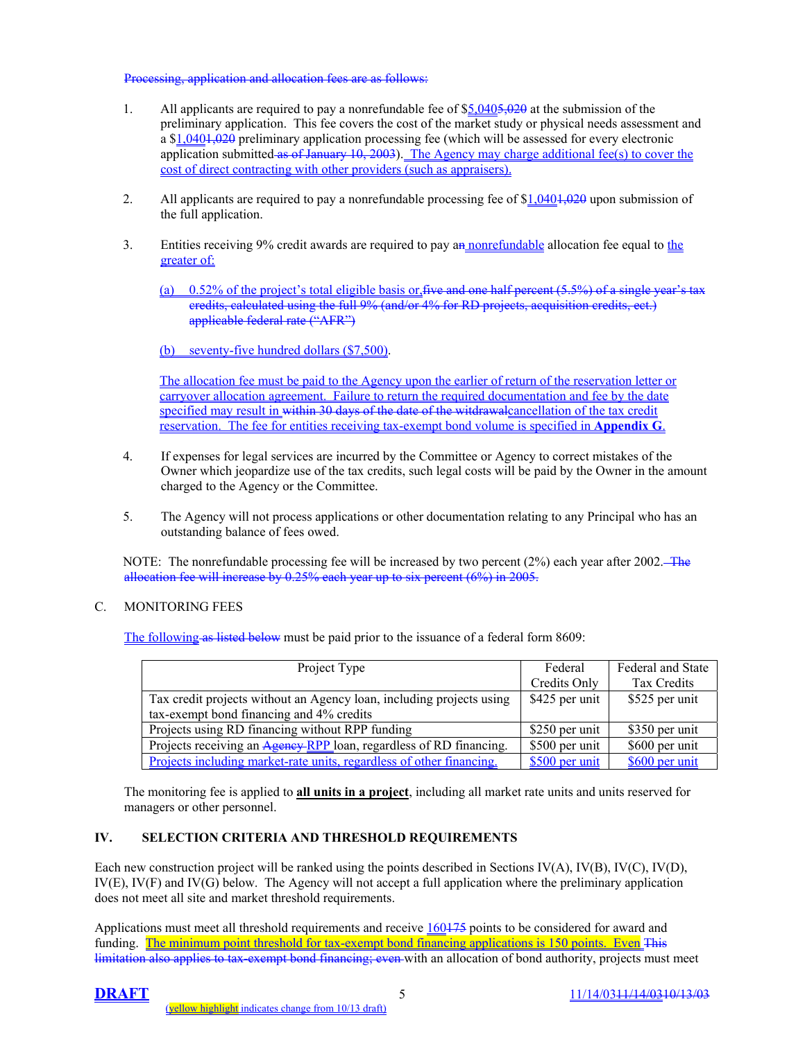#### Processing, application and allocation fees are as follows:

- 1. All applicants are required to pay a nonrefundable fee of \$5,0405,020 at the submission of the preliminary application. This fee covers the cost of the market study or physical needs assessment and a \$1,040+,020 preliminary application processing fee (which will be assessed for every electronic application submitted as of January 10, 2003). The Agency may charge additional fee(s) to cover the cost of direct contracting with other providers (such as appraisers).
- 2. All applicants are required to pay a nonrefundable processing fee of  $$1,0401,020$  upon submission of the full application.
- 3. Entities receiving 9% credit awards are required to pay an nonrefundable allocation fee equal to the greater of:

(a) 0.52% of the project's total eligible basis or, five and one half percent (5.5%) of a single year's tax credits, calculated using the full 9% (and/or 4% for RD projects, acquisition credits, ect.) applicable federal rate ("AFR")

(b) seventy-five hundred dollars (\$7,500).

The allocation fee must be paid to the Agency upon the earlier of return of the reservation letter or carryover allocation agreement. Failure to return the required documentation and fee by the date specified may result in within 30 days of the date of the witdrawalcancellation of the tax credit reservation. The fee for entities receiving tax-exempt bond volume is specified in **Appendix G**.

- 4. If expenses for legal services are incurred by the Committee or Agency to correct mistakes of the Owner which jeopardize use of the tax credits, such legal costs will be paid by the Owner in the amount charged to the Agency or the Committee.
- 5. The Agency will not process applications or other documentation relating to any Principal who has an outstanding balance of fees owed.

NOTE: The nonrefundable processing fee will be increased by two percent (2%) each year after 2002. The allocation fee will increase by 0.25% each year up to six percent (6%) in 2005.

# C. MONITORING FEES

The following as listed below must be paid prior to the issuance of a federal form 8609:

| Project Type                                                                | Federal        | <b>Federal and State</b> |  |
|-----------------------------------------------------------------------------|----------------|--------------------------|--|
|                                                                             | Credits Only   | Tax Credits              |  |
| Tax credit projects without an Agency loan, including projects using        | \$425 per unit | \$525 per unit           |  |
| tax-exempt bond financing and 4% credits                                    |                |                          |  |
| Projects using RD financing without RPP funding                             | \$250 per unit | \$350 per unit           |  |
| Projects receiving an Agency RPP loan, regardless of RD financing.          | \$500 per unit | \$600 per unit           |  |
| <u>Projects including market-rate units, regardless of other financing.</u> | \$500 per unit | \$600 per unit           |  |

The monitoring fee is applied to **all units in a project**, including all market rate units and units reserved for managers or other personnel.

# **IV. SELECTION CRITERIA AND THRESHOLD REQUIREMENTS**

Each new construction project will be ranked using the points described in Sections IV(A), IV(B), IV(C), IV(D), IV(E), IV(F) and IV(G) below. The Agency will not accept a full application where the preliminary application does not meet all site and market threshold requirements.

Applications must meet all threshold requirements and receive  $160175$  points to be considered for award and funding. The minimum point threshold for tax-exempt bond financing applications is 150 points. Even This limitation also applies to tax-exempt bond financing; even with an allocation of bond authority, projects must meet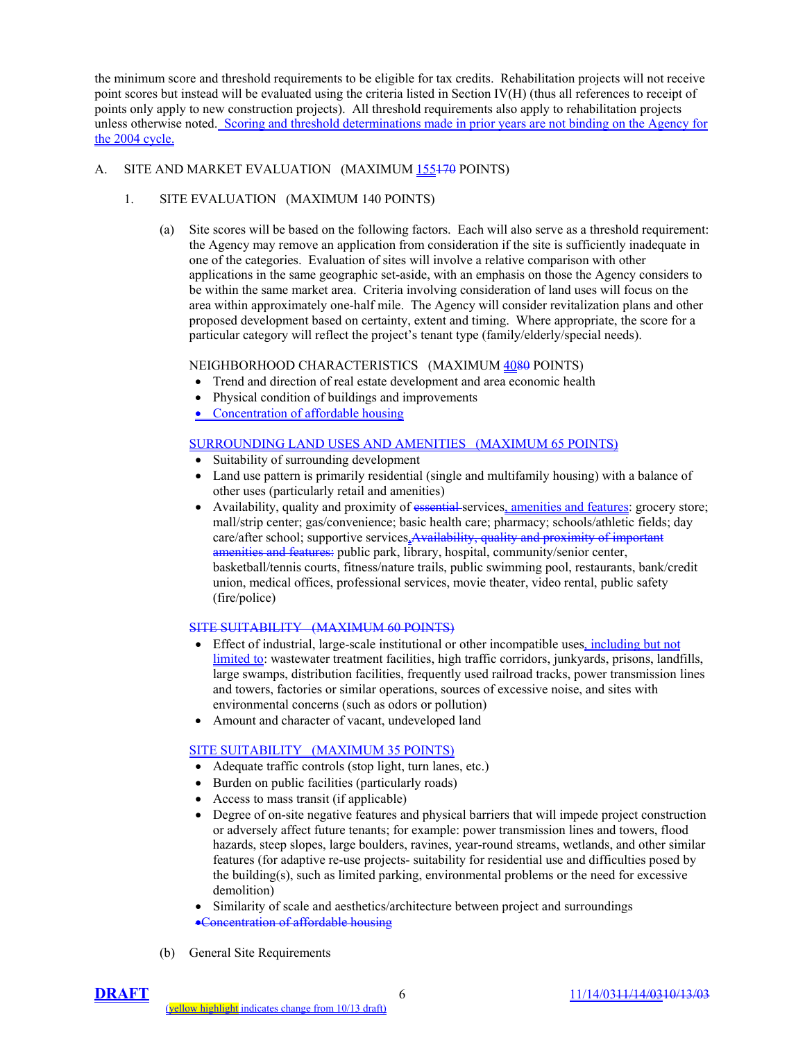the minimum score and threshold requirements to be eligible for tax credits. Rehabilitation projects will not receive point scores but instead will be evaluated using the criteria listed in Section IV(H) (thus all references to receipt of points only apply to new construction projects). All threshold requirements also apply to rehabilitation projects unless otherwise noted. Scoring and threshold determinations made in prior years are not binding on the Agency for the 2004 cycle.

# A. SITE AND MARKET EVALUATION (MAXIMUM 155470 POINTS)

# 1. SITE EVALUATION (MAXIMUM 140 POINTS)

(a) Site scores will be based on the following factors. Each will also serve as a threshold requirement: the Agency may remove an application from consideration if the site is sufficiently inadequate in one of the categories. Evaluation of sites will involve a relative comparison with other applications in the same geographic set-aside, with an emphasis on those the Agency considers to be within the same market area. Criteria involving consideration of land uses will focus on the area within approximately one-half mile. The Agency will consider revitalization plans and other proposed development based on certainty, extent and timing. Where appropriate, the score for a particular category will reflect the project's tenant type (family/elderly/special needs).

## NEIGHBORHOOD CHARACTERISTICS (MAXIMUM 4080 POINTS)

- Trend and direction of real estate development and area economic health
- Physical condition of buildings and improvements
- Concentration of affordable housing

# SURROUNDING LAND USES AND AMENITIES (MAXIMUM 65 POINTS)

- Suitability of surrounding development
- Land use pattern is primarily residential (single and multifamily housing) with a balance of other uses (particularly retail and amenities)
- Availability, quality and proximity of essential-services, amenities and features: grocery store; mall/strip center; gas/convenience; basic health care; pharmacy; schools/athletic fields; day care/after school; supportive services. Availability, quality and proximity of important amenities and features: public park, library, hospital, community/senior center, basketball/tennis courts, fitness/nature trails, public swimming pool, restaurants, bank/credit union, medical offices, professional services, movie theater, video rental, public safety (fire/police)

## SITE SUITABILITY (MAXIMUM 60 POINTS)

- Effect of industrial, large-scale institutional or other incompatible uses, including but not limited to: wastewater treatment facilities, high traffic corridors, junkyards, prisons, landfills, large swamps, distribution facilities, frequently used railroad tracks, power transmission lines and towers, factories or similar operations, sources of excessive noise, and sites with environmental concerns (such as odors or pollution)
- Amount and character of vacant, undeveloped land

# SITE SUITABILITY (MAXIMUM 35 POINTS)

- Adequate traffic controls (stop light, turn lanes, etc.)
- Burden on public facilities (particularly roads)
- Access to mass transit (if applicable)
- Degree of on-site negative features and physical barriers that will impede project construction or adversely affect future tenants; for example: power transmission lines and towers, flood hazards, steep slopes, large boulders, ravines, year-round streams, wetlands, and other similar features (for adaptive re-use projects- suitability for residential use and difficulties posed by the building(s), such as limited parking, environmental problems or the need for excessive demolition)
- Similarity of scale and aesthetics/architecture between project and surroundings
- •Concentration of affordable housing
- (b) General Site Requirements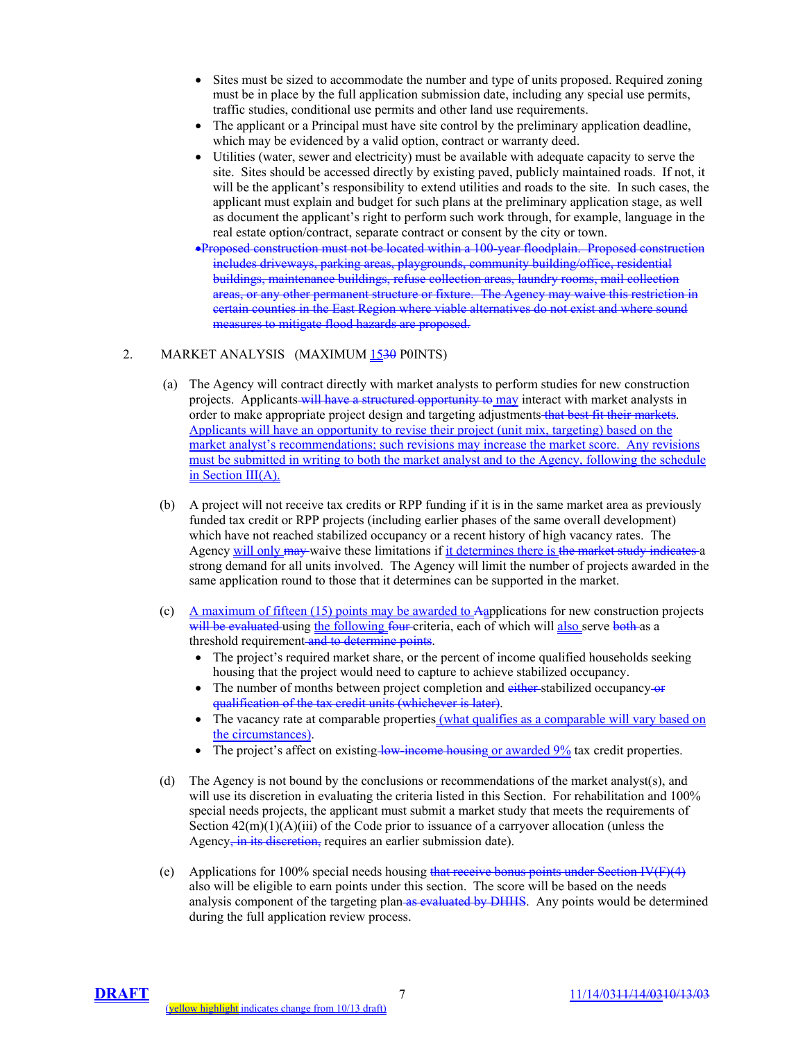- Sites must be sized to accommodate the number and type of units proposed. Required zoning must be in place by the full application submission date, including any special use permits, traffic studies, conditional use permits and other land use requirements.
- The applicant or a Principal must have site control by the preliminary application deadline, which may be evidenced by a valid option, contract or warranty deed.
- Utilities (water, sewer and electricity) must be available with adequate capacity to serve the site. Sites should be accessed directly by existing paved, publicly maintained roads. If not, it will be the applicant's responsibility to extend utilities and roads to the site. In such cases, the applicant must explain and budget for such plans at the preliminary application stage, as well as document the applicant's right to perform such work through, for example, language in the real estate option/contract, separate contract or consent by the city or town.
- •Proposed construction must not be located within a 100-year floodplain. Proposed construction includes driveways, parking areas, playgrounds, community building/office, residential buildings, maintenance buildings, refuse collection areas, laundry rooms, mail collection areas, or any other permanent structure or fixture. The Agency may waive this restriction in certain counties in the East Region where viable alternatives do not exist and where sound measures to mitigate flood hazards are proposed.

#### 2. MARKET ANALYSIS (MAXIMUM 1530 P0INTS)

- (a) The Agency will contract directly with market analysts to perform studies for new construction projects. Applicants will have a structured opportunity to may interact with market analysts in order to make appropriate project design and targeting adjustments that best fit their markets. Applicants will have an opportunity to revise their project (unit mix, targeting) based on the market analyst's recommendations; such revisions may increase the market score. Any revisions must be submitted in writing to both the market analyst and to the Agency, following the schedule in Section III(A).
- (b) A project will not receive tax credits or RPP funding if it is in the same market area as previously funded tax credit or RPP projects (including earlier phases of the same overall development) which have not reached stabilized occupancy or a recent history of high vacancy rates. The Agency will only may waive these limitations if it determines there is the market study indicates a strong demand for all units involved. The Agency will limit the number of projects awarded in the same application round to those that it determines can be supported in the market.
- (c) A maximum of fifteen (15) points may be awarded to Aapplications for new construction projects will be evaluated using the following four criteria, each of which will also serve both as a threshold requirement and to determine points.
	- The project's required market share, or the percent of income qualified households seeking housing that the project would need to capture to achieve stabilized occupancy.
	- The number of months between project completion and either stabilized occupancy-or qualification of the tax credit units (whichever is later).
	- The vacancy rate at comparable properties (what qualifies as a comparable will vary based on the circumstances).
	- The project's affect on existing low-income housing or awarded 9% tax credit properties.
- (d) The Agency is not bound by the conclusions or recommendations of the market analyst(s), and will use its discretion in evaluating the criteria listed in this Section. For rehabilitation and 100% special needs projects, the applicant must submit a market study that meets the requirements of Section  $42(m)(1)(A)(iii)$  of the Code prior to issuance of a carryover allocation (unless the Agency, in its discretion, requires an earlier submission date).
- (e) Applications for 100% special needs housing that receive bonus points under Section IV(F)(4) also will be eligible to earn points under this section. The score will be based on the needs analysis component of the targeting plan as evaluated by DHHS. Any points would be determined during the full application review process.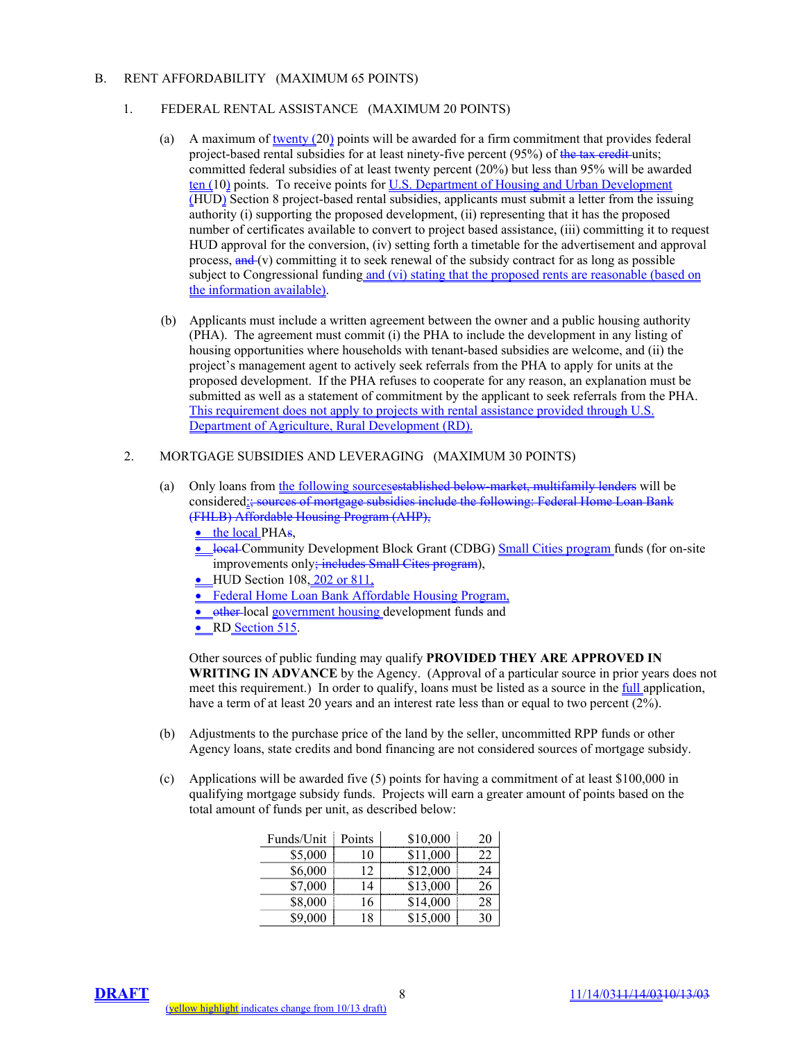#### B. RENT AFFORDABILITY (MAXIMUM 65 POINTS)

## 1. FEDERAL RENTAL ASSISTANCE (MAXIMUM 20 POINTS)

- (a) A maximum of twenty (20) points will be awarded for a firm commitment that provides federal project-based rental subsidies for at least ninety-five percent (95%) of the tax credit units; committed federal subsidies of at least twenty percent (20%) but less than 95% will be awarded ten (10) points. To receive points for U.S. Department of Housing and Urban Development (HUD) Section 8 project-based rental subsidies, applicants must submit a letter from the issuing authority (i) supporting the proposed development, (ii) representing that it has the proposed number of certificates available to convert to project based assistance, (iii) committing it to request HUD approval for the conversion, (iv) setting forth a timetable for the advertisement and approval process,  $\frac{and}{v}$  committing it to seek renewal of the subsidy contract for as long as possible subject to Congressional funding and (vi) stating that the proposed rents are reasonable (based on the information available).
- (b) Applicants must include a written agreement between the owner and a public housing authority (PHA). The agreement must commit (i) the PHA to include the development in any listing of housing opportunities where households with tenant-based subsidies are welcome, and (ii) the project's management agent to actively seek referrals from the PHA to apply for units at the proposed development. If the PHA refuses to cooperate for any reason, an explanation must be submitted as well as a statement of commitment by the applicant to seek referrals from the PHA. This requirement does not apply to projects with rental assistance provided through U.S. Department of Agriculture, Rural Development (RD).

#### 2. MORTGAGE SUBSIDIES AND LEVERAGING (MAXIMUM 30 POINTS)

- (a) Only loans from the following sourcesestablished below-market, multifamily lenders will be considered:; sources of mortgage subsidies include the following: Federal Home Loan Bank (FHLB) Affordable Housing Program (AHP),
	- the local PHAs,
	- local Community Development Block Grant (CDBG) Small Cities program funds (for on-site improvements only<del>; includes Small Cites program</del>),
	- HUD Section 108, 202 or 811,
	- Federal Home Loan Bank Affordable Housing Program,
	- other local government housing development funds and

• RD Section 515.

Other sources of public funding may qualify **PROVIDED THEY ARE APPROVED IN WRITING IN ADVANCE** by the Agency. (Approval of a particular source in prior years does not meet this requirement.) In order to qualify, loans must be listed as a source in the full application, have a term of at least 20 years and an interest rate less than or equal to two percent (2%).

- (b) Adjustments to the purchase price of the land by the seller, uncommitted RPP funds or other Agency loans, state credits and bond financing are not considered sources of mortgage subsidy.
- (c) Applications will be awarded five (5) points for having a commitment of at least \$100,000 in qualifying mortgage subsidy funds. Projects will earn a greater amount of points based on the total amount of funds per unit, as described below:

| Funds/Unit | Points     | \$10,000 | 20 |
|------------|------------|----------|----|
| \$5,000    | 10         | \$11,000 |    |
| \$6,000    | $\sqrt{2}$ | \$12,000 | 24 |
| \$7,000    | 14         | \$13,000 |    |
| \$8,000    | 16         | \$14,000 | 28 |
| \$9,000    | 18         | \$15,000 |    |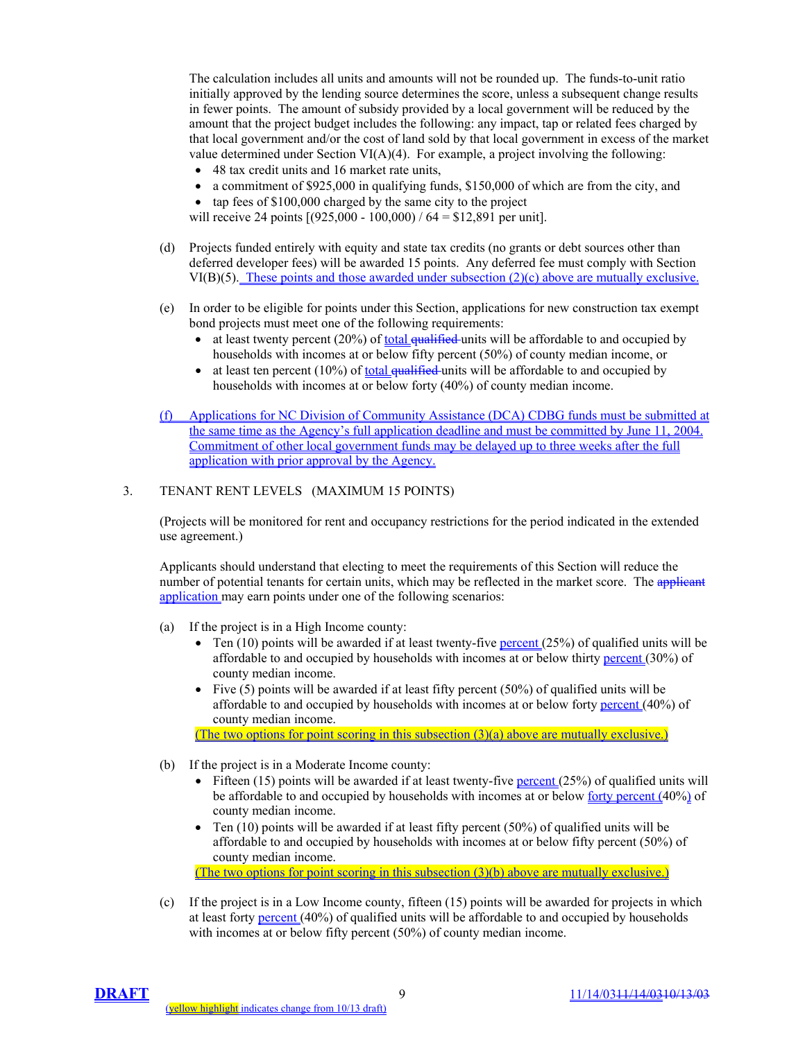The calculation includes all units and amounts will not be rounded up. The funds-to-unit ratio initially approved by the lending source determines the score, unless a subsequent change results in fewer points. The amount of subsidy provided by a local government will be reduced by the amount that the project budget includes the following: any impact, tap or related fees charged by that local government and/or the cost of land sold by that local government in excess of the market value determined under Section VI( $A$ )(4). For example, a project involving the following:

- 48 tax credit units and 16 market rate units,
- a commitment of \$925,000 in qualifying funds, \$150,000 of which are from the city, and
- tap fees of \$100,000 charged by the same city to the project

will receive 24 points  $[(925,000 - 100,000) / 64 = $12,891$  per unit].

- (d) Projects funded entirely with equity and state tax credits (no grants or debt sources other than deferred developer fees) will be awarded 15 points. Any deferred fee must comply with Section VI(B)(5). These points and those awarded under subsection (2)(c) above are mutually exclusive.
- (e) In order to be eligible for points under this Section, applications for new construction tax exempt bond projects must meet one of the following requirements:
	- at least twenty percent  $(20%)$  of <u>total qualified</u> units will be affordable to and occupied by households with incomes at or below fifty percent (50%) of county median income, or
	- at least ten percent (10%) of total  $\frac{1}{2}$  the units will be affordable to and occupied by households with incomes at or below forty (40%) of county median income.
- (f) Applications for NC Division of Community Assistance (DCA) CDBG funds must be submitted at the same time as the Agency's full application deadline and must be committed by June 11, 2004. Commitment of other local government funds may be delayed up to three weeks after the full application with prior approval by the Agency.

## 3. TENANT RENT LEVELS (MAXIMUM 15 POINTS)

(Projects will be monitored for rent and occupancy restrictions for the period indicated in the extended use agreement.)

Applicants should understand that electing to meet the requirements of this Section will reduce the number of potential tenants for certain units, which may be reflected in the market score. The applicant application may earn points under one of the following scenarios:

- (a) If the project is in a High Income county:
	- Ten  $(10)$  points will be awarded if at least twenty-five percent  $(25%)$  of qualified units will be affordable to and occupied by households with incomes at or below thirty percent (30%) of county median income.
	- Five (5) points will be awarded if at least fifty percent (50%) of qualified units will be affordable to and occupied by households with incomes at or below forty percent (40%) of county median income.

(The two options for point scoring in this subsection (3)(a) above are mutually exclusive.)

- (b) If the project is in a Moderate Income county:
	- Fifteen (15) points will be awarded if at least twenty-five percent (25%) of qualified units will be affordable to and occupied by households with incomes at or below <u>forty percent</u> (40%) of county median income.
	- Ten  $(10)$  points will be awarded if at least fifty percent  $(50%)$  of qualified units will be affordable to and occupied by households with incomes at or below fifty percent (50%) of county median income.

(The two options for point scoring in this subsection (3)(b) above are mutually exclusive.)

(c) If the project is in a Low Income county, fifteen (15) points will be awarded for projects in which at least forty percent (40%) of qualified units will be affordable to and occupied by households with incomes at or below fifty percent (50%) of county median income.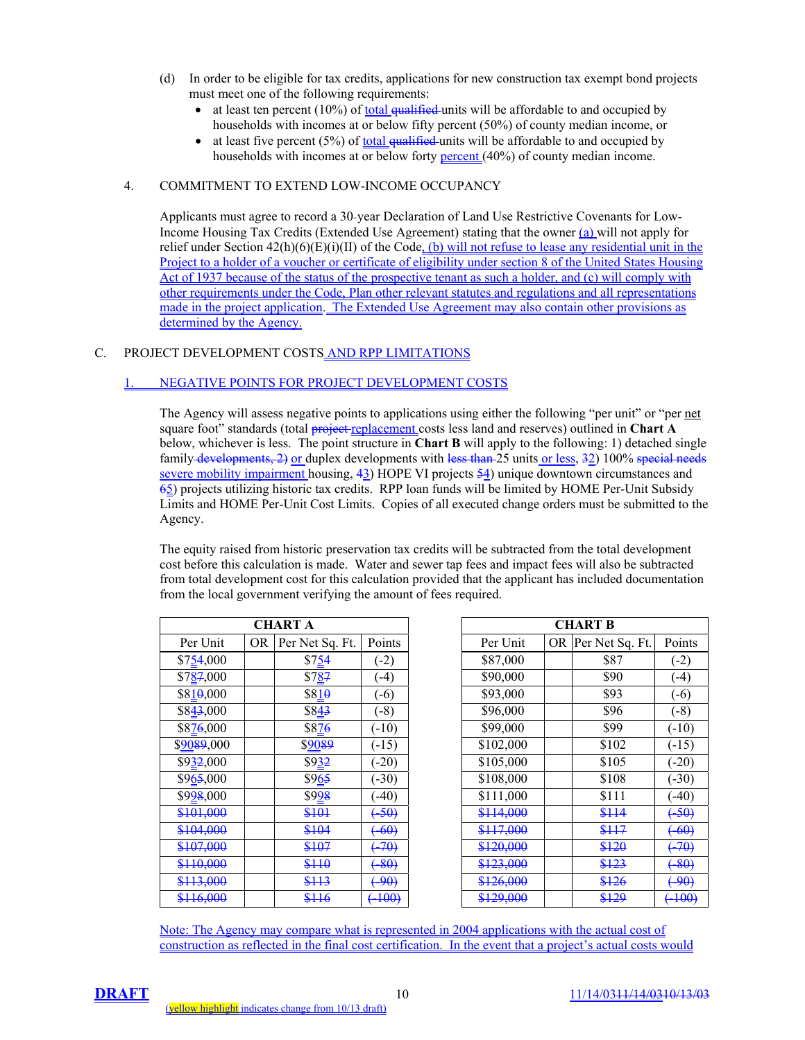- (d) In order to be eligible for tax credits, applications for new construction tax exempt bond projects must meet one of the following requirements:
	- at least ten percent  $(10\%)$  of total qualified units will be affordable to and occupied by households with incomes at or below fifty percent (50%) of county median income, or
	- at least five percent  $(5%)$  of <u>total qualified</u> units will be affordable to and occupied by households with incomes at or below forty **percent** (40%) of county median income.

#### 4. COMMITMENT TO EXTEND LOW-INCOME OCCUPANCY

Applicants must agree to record a 30-year Declaration of Land Use Restrictive Covenants for Low-Income Housing Tax Credits (Extended Use Agreement) stating that the owner (a) will not apply for relief under Section 42(h)(6)(E)(i)(II) of the Code, (b) will not refuse to lease any residential unit in the Project to a holder of a voucher or certificate of eligibility under section 8 of the United States Housing Act of 1937 because of the status of the prospective tenant as such a holder, and (c) will comply with other requirements under the Code, Plan other relevant statutes and regulations and all representations made in the project application. The Extended Use Agreement may also contain other provisions as determined by the Agency.

# C. PROJECT DEVELOPMENT COSTS AND RPP LIMITATIONS

# 1. NEGATIVE POINTS FOR PROJECT DEVELOPMENT COSTS

The Agency will assess negative points to applications using either the following "per unit" or "per net square foot" standards (total project replacement costs less land and reserves) outlined in **Chart A** below, whichever is less. The point structure in **Chart B** will apply to the following: 1) detached single family developments, 2) or duplex developments with less than 25 units or less, 32) 100% special need severe mobility impairment housing, 43) HOPE VI projects 54) unique downtown circumstances and 65) projects utilizing historic tax credits. RPP loan funds will be limited by HOME Per-Unit Subsidy Limits and HOME Per-Unit Cost Limits. Copies of all executed change orders must be submitted to the Agency.

The equity raised from historic preservation tax credits will be subtracted from the total development cost before this calculation is made. Water and sewer tap fees and impact fees will also be subtracted from total development cost for this calculation provided that the applicant has included documentation from the local government verifying the amount of fees required.

| CHART A    |    |                  |                   |  |  |
|------------|----|------------------|-------------------|--|--|
| Per Unit   | OR | Per Net Sq. Ft.  | Points            |  |  |
| \$754,000  |    | \$754            | $(-2)$            |  |  |
| \$787,000  |    | \$7 <u>8</u> 7   | $(-4)$            |  |  |
| \$810,000  |    | \$8 <u>1</u> 0   | $(-6)$            |  |  |
| \$843,000  |    | S84 <del>3</del> | $(-8)$            |  |  |
| \$876,000  |    | \$876            | $(-10)$           |  |  |
| \$9089,000 |    | \$ <u>9089</u>   | $(-15)$           |  |  |
| \$932,000  |    | \$9 <u>32</u>    | $(-20)$           |  |  |
| \$965,000  |    | \$965            | $(-30)$           |  |  |
| \$998,000  |    | \$998            | $(-40)$           |  |  |
| \$101,000  |    | \$101            | $(+50)$           |  |  |
| \$104,000  |    | \$104            | $(-60)$           |  |  |
| \$107,000  |    | \$107            | -70)              |  |  |
| \$110,000  |    | \$110            | 80                |  |  |
| \$113,000  |    | \$113            | 90                |  |  |
| \$116,000  |    | <del>\$116</del> | <del>(-100)</del> |  |  |

| <b>CHART A</b>      |           |                 |                 | <b>CHART B</b>                 |  |
|---------------------|-----------|-----------------|-----------------|--------------------------------|--|
| Per Unit            | <b>OR</b> | Per Net Sq. Ft. | Points          | Per Unit<br>OR Per Net Sq. Ft. |  |
| \$754,000           |           | \$754           | $(-2)$          | \$87,000<br>\$87               |  |
| \$787,000           |           | \$787           | $-4)$           | \$90<br>\$90,000               |  |
| \$810,000           |           | \$810           | $(-6)$          | \$93<br>\$93,000               |  |
| \$843,000           |           | \$843           | $(-8)$          | \$96<br>\$96,000               |  |
| \$876,000           |           | \$876           | $( -10) $       | \$99<br>\$99,000               |  |
| \$ <u>90</u> 89,000 |           | \$9089          | $(-15)$         | \$102,000<br>\$102             |  |
| \$932,000           |           | \$932           | $-20$           | \$105,000<br>\$105             |  |
| \$965,000           |           | \$965           | $-30)$          | \$108<br>\$108,000             |  |
| \$998,000           |           | \$928           | $-40)$          | \$111,000<br>\$111             |  |
| \$101,000           |           | \$101           | 50 <sub>1</sub> | \$114,000<br>\$114             |  |
| \$104,000           |           | \$104           | $-60$           | \$117,000<br><del>\$117</del>  |  |
| \$107,000           |           | \$107           | <del>70)</del>  | \$120,000<br>\$120             |  |
| \$110,000           |           | \$110           | $-80$           | \$123,000<br>\$123             |  |
| \$113,000           |           | \$113           | -90)            | \$126,000<br>\$126             |  |
| \$116,000           |           | \$116           | $(+100)$        | \$129,000<br>\$129             |  |

Note: The Agency may compare what is represented in 2004 applications with the actual cost of construction as reflected in the final cost certification. In the event that a project's actual costs would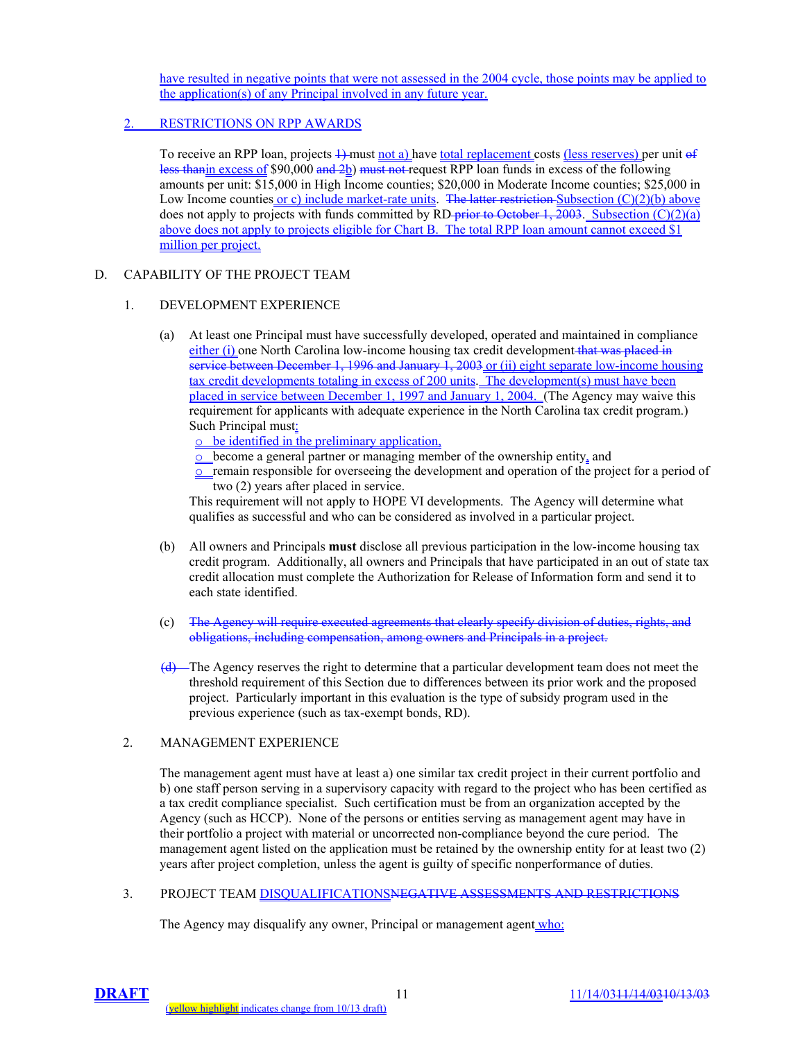have resulted in negative points that were not assessed in the 2004 cycle, those points may be applied to the application(s) of any Principal involved in any future year.

# 2. RESTRICTIONS ON RPP AWARDS

To receive an RPP loan, projects  $\frac{1}{2}$  must not a) have total replacement costs (less reserves) per unit of less thanin excess of \$90,000 and 2b) must not request RPP loan funds in excess of the following amounts per unit: \$15,000 in High Income counties; \$20,000 in Moderate Income counties; \$25,000 in Low Income counties or c) include market-rate units. The latter restriction Subsection  $(C)(2)(b)$  above does not apply to projects with funds committed by RD prior to October 1, 2003. Subsection (C)(2)(a) above does not apply to projects eligible for Chart B. The total RPP loan amount cannot exceed \$1 million per project.

# D. CAPABILITY OF THE PROJECT TEAM

## 1. DEVELOPMENT EXPERIENCE

(a) At least one Principal must have successfully developed, operated and maintained in compliance either (i) one North Carolina low-income housing tax credit development that was placed in service between December 1, 1996 and January 1, 2003 or (ii) eight separate low-income housing tax credit developments totaling in excess of 200 units. The development(s) must have been placed in service between December 1, 1997 and January 1, 2004. (The Agency may waive this requirement for applicants with adequate experience in the North Carolina tax credit program.) Such Principal must:

o be identified in the preliminary application,

- o become a general partner or managing member of the ownership entity, and
- o remain responsible for overseeing the development and operation of the project for a period of two (2) years after placed in service.

This requirement will not apply to HOPE VI developments. The Agency will determine what qualifies as successful and who can be considered as involved in a particular project.

- (b) All owners and Principals **must** disclose all previous participation in the low-income housing tax credit program. Additionally, all owners and Principals that have participated in an out of state tax credit allocation must complete the Authorization for Release of Information form and send it to each state identified.
- (c) The Agency will require executed agreements that clearly specify division of duties, rights, and obligations, including compensation, among owners and Principals in a project.
- (d) The Agency reserves the right to determine that a particular development team does not meet the threshold requirement of this Section due to differences between its prior work and the proposed project. Particularly important in this evaluation is the type of subsidy program used in the previous experience (such as tax-exempt bonds, RD).

# 2. MANAGEMENT EXPERIENCE

The management agent must have at least a) one similar tax credit project in their current portfolio and b) one staff person serving in a supervisory capacity with regard to the project who has been certified as a tax credit compliance specialist. Such certification must be from an organization accepted by the Agency (such as HCCP). None of the persons or entities serving as management agent may have in their portfolio a project with material or uncorrected non-compliance beyond the cure period. The management agent listed on the application must be retained by the ownership entity for at least two (2) years after project completion, unless the agent is guilty of specific nonperformance of duties.

3. PROJECT TEAM DISQUALIFICATIONSNEGATIVE ASSESSMENTS AND RESTRICTIONS

The Agency may disqualify any owner, Principal or management agent who: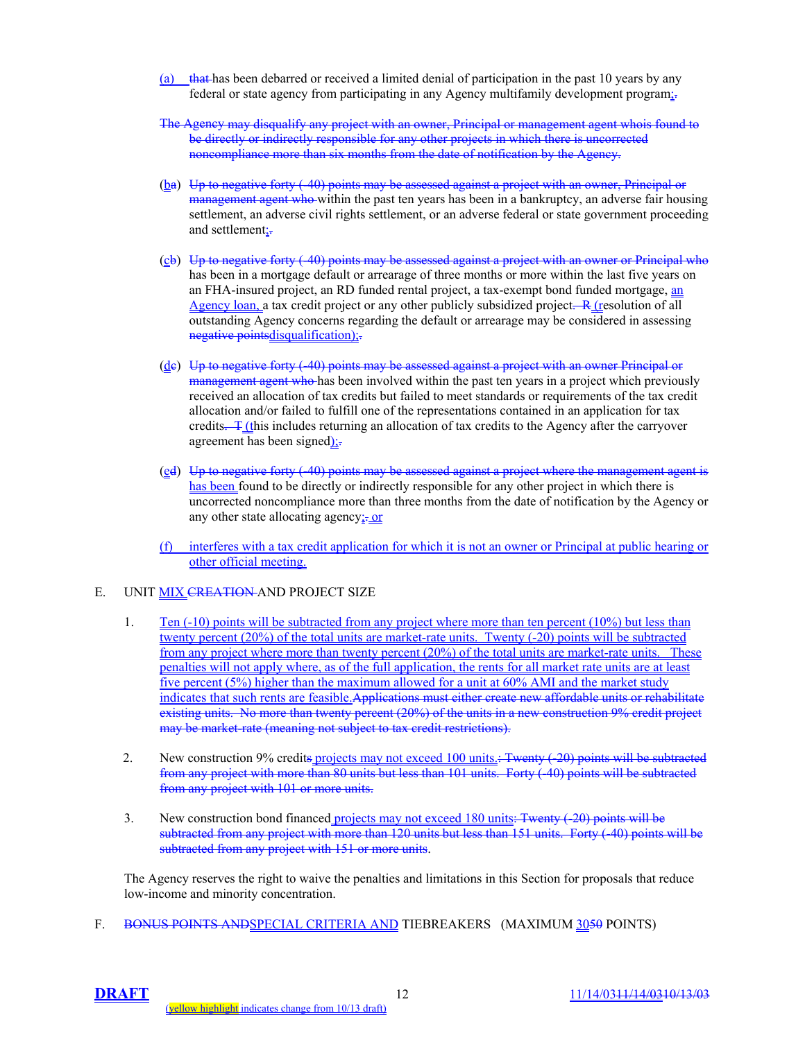- (a) that has been debarred or received a limited denial of participation in the past 10 years by any federal or state agency from participating in any Agency multifamily development program;-
- The Agency may disqualify any project with an owner, Principal or management agent whois found to be directly or indirectly responsible for any other projects in which there is uncorrected noncompliance more than six months from the date of notification by the Agency.
- (ba) Up to negative forty (-40) points may be assessed against a project with an owner, Principal or management agent who within the past ten years has been in a bankruptcy, an adverse fair housing settlement, an adverse civil rights settlement, or an adverse federal or state government proceeding and settlement;-
- (cb) Up to negative forty (-40) points may be assessed against a project with an owner or Principal who has been in a mortgage default or arrearage of three months or more within the last five years on an FHA-insured project, an RD funded rental project, a tax-exempt bond funded mortgage, an Agency loan, a tax credit project or any other publicly subsidized project.  $\overline{R}$  (resolution of all outstanding Agency concerns regarding the default or arrearage may be considered in assessing negative points disqualification);
- (de) Up to negative forty (-40) points may be assessed against a project with an owner Principal or management agent who has been involved within the past ten years in a project which previously received an allocation of tax credits but failed to meet standards or requirements of the tax credit allocation and/or failed to fulfill one of the representations contained in an application for tax credits. **T** (this includes returning an allocation of tax credits to the Agency after the carryover agreement has been signed);-
- (ed) Up to negative forty (-40) points may be assessed against a project where the management agent is has been found to be directly or indirectly responsible for any other project in which there is uncorrected noncompliance more than three months from the date of notification by the Agency or any other state allocating agency:- or
- (f) interferes with a tax credit application for which it is not an owner or Principal at public hearing or other official meeting.

## E. UNIT **MIX CREATION AND PROJECT SIZE**

- 1. Ten (-10) points will be subtracted from any project where more than ten percent (10%) but less than twenty percent (20%) of the total units are market-rate units. Twenty (-20) points will be subtracted from any project where more than twenty percent (20%) of the total units are market-rate units. These penalties will not apply where, as of the full application, the rents for all market rate units are at least five percent (5%) higher than the maximum allowed for a unit at 60% AMI and the market study indicates that such rents are feasible.Applications must either create new affordable units or rehabilitate existing units. No more than twenty percent (20%) of the units in a new construction 9% credit project may be market rate (meaning not subject to tax credit restrictions).
- 2. New construction 9% credits projects may not exceed 100 units.: Twenty (-20) points will be subtracted from any project with more than 80 units but less than 101 units. Forty (-40) points will be subtracted from any project with 101 or more units.
- 3. New construction bond financed projects may not exceed 180 units: Twenty (-20) points will be subtracted from any project with more than 120 units but less than 151 units. Forty (40) points will be subtracted from any project with 151 or more units.

The Agency reserves the right to waive the penalties and limitations in this Section for proposals that reduce low-income and minority concentration.

F. BONUS POINTS AND SPECIAL CRITERIA AND TIEBREAKERS (MAXIMUM 3050 POINTS)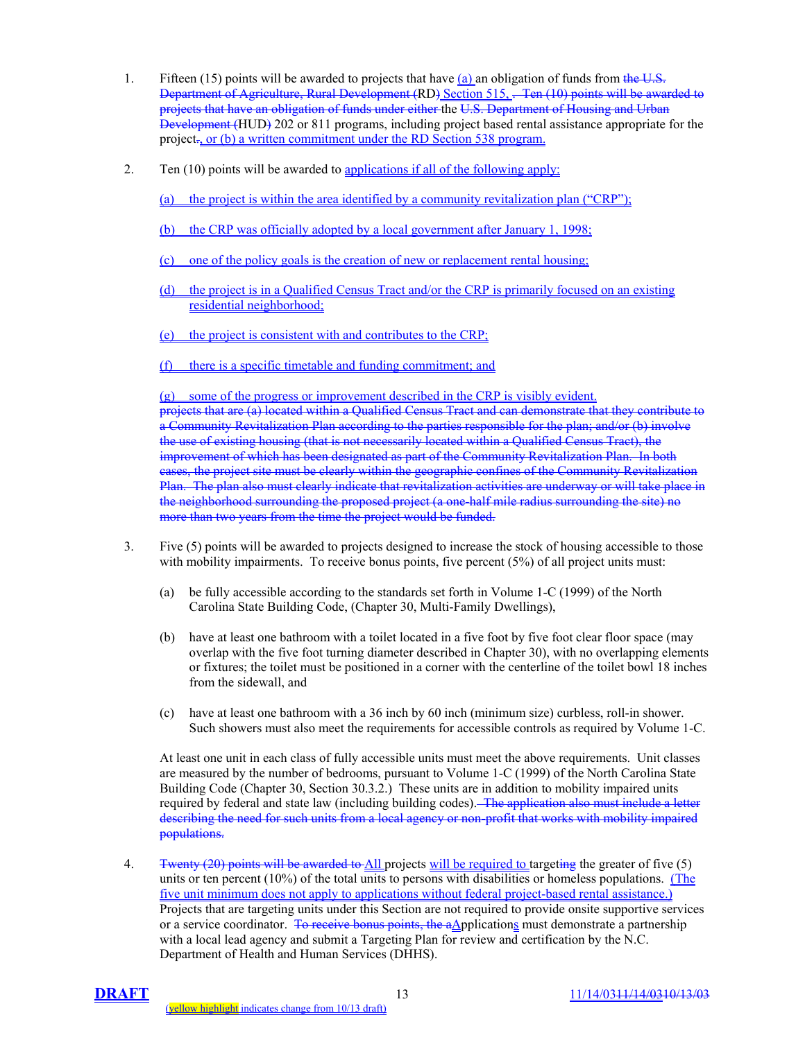- 1. Fifteen (15) points will be awarded to projects that have  $(a)$  an obligation of funds from the U.S. Department of Agriculture, Rural Development (RD) Section 515, .- Ten (10) points will be awarded to projects that have an obligation of funds under either the U.S. Department of Housing and Urban Development (HUD) 202 or 811 programs, including project based rental assistance appropriate for the project., or (b) a written commitment under the RD Section 538 program.
- 2. Ten (10) points will be awarded to applications if all of the following apply:

(a) the project is within the area identified by a community revitalization plan ("CRP");

- (b) the CRP was officially adopted by a local government after January 1, 1998;
- (c) one of the policy goals is the creation of new or replacement rental housing;
- (d) the project is in a Qualified Census Tract and/or the CRP is primarily focused on an existing residential neighborhood;
- (e) the project is consistent with and contributes to the CRP;
- (f) there is a specific timetable and funding commitment; and

(g) some of the progress or improvement described in the CRP is visibly evident.

projects that are (a) located within a Qualified Census Tract and can demonstrate that they contribute to a Community Revitalization Plan according to the parties responsible for the plan; and/or (b) involve the use of existing housing (that is not necessarily located within a Qualified Census Tract), the improvement of which has been designated as part of the Community Revitalization Plan. In both cases, the project site must be clearly within the geographic confines of the Community Revitalization Plan. The plan also must clearly indicate that revitalization activities are underway or will take place in the neighborhood surrounding the proposed project (a one-half mile radius surrounding the site) no more than two years from the time the project would be funded.

- 3. Five (5) points will be awarded to projects designed to increase the stock of housing accessible to those with mobility impairments. To receive bonus points, five percent (5%) of all project units must:
	- (a) be fully accessible according to the standards set forth in Volume 1-C (1999) of the North Carolina State Building Code, (Chapter 30, Multi-Family Dwellings),
	- (b) have at least one bathroom with a toilet located in a five foot by five foot clear floor space (may overlap with the five foot turning diameter described in Chapter 30), with no overlapping elements or fixtures; the toilet must be positioned in a corner with the centerline of the toilet bowl 18 inches from the sidewall, and
	- (c) have at least one bathroom with a 36 inch by 60 inch (minimum size) curbless, roll-in shower. Such showers must also meet the requirements for accessible controls as required by Volume 1-C.

At least one unit in each class of fully accessible units must meet the above requirements. Unit classes are measured by the number of bedrooms, pursuant to Volume 1-C (1999) of the North Carolina State Building Code (Chapter 30, Section 30.3.2.) These units are in addition to mobility impaired units required by federal and state law (including building codes). The application also must include a letter describing the need for such units from a local agency or non-profit that works with mobility impaired populations.

4. Twenty (20) points will be awarded to All projects will be required to targeting the greater of five (5) units or ten percent (10%) of the total units to persons with disabilities or homeless populations. (The five unit minimum does not apply to applications without federal project-based rental assistance.) Projects that are targeting units under this Section are not required to provide onsite supportive services or a service coordinator. To receive bonus points, the aApplications must demonstrate a partnership with a local lead agency and submit a Targeting Plan for review and certification by the N.C. Department of Health and Human Services (DHHS).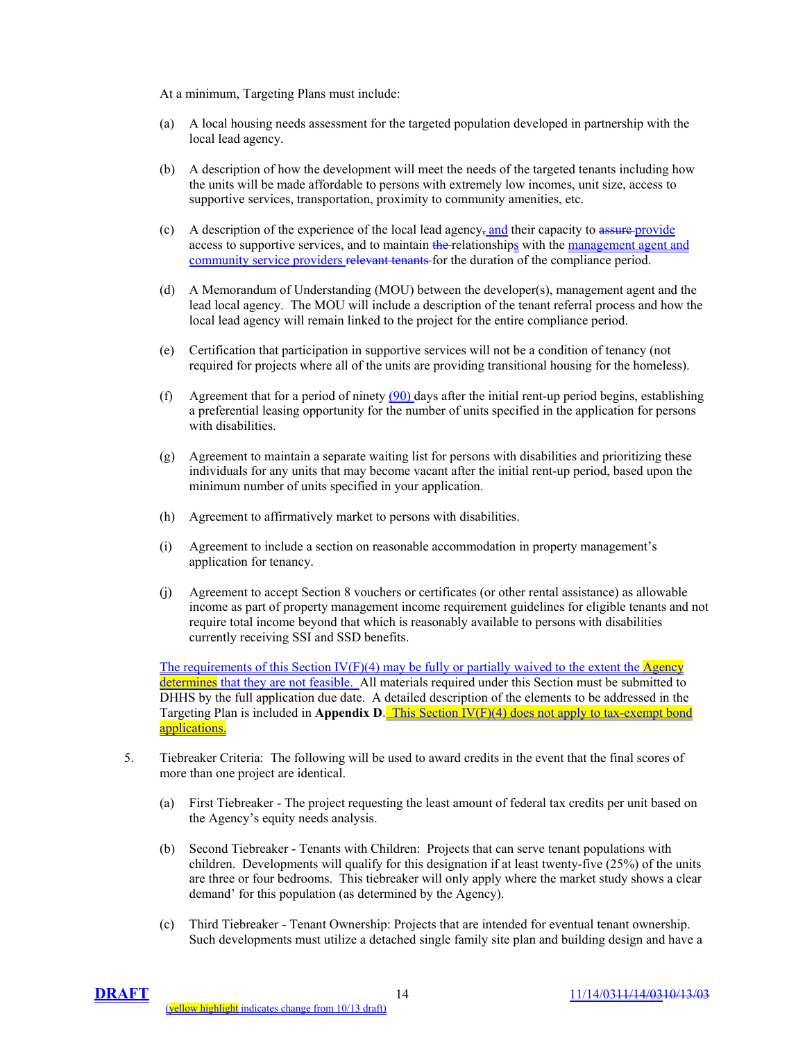At a minimum, Targeting Plans must include:

- (a) A local housing needs assessment for the targeted population developed in partnership with the local lead agency.
- (b) A description of how the development will meet the needs of the targeted tenants including how the units will be made affordable to persons with extremely low incomes, unit size, access to supportive services, transportation, proximity to community amenities, etc.
- (c) A description of the experience of the local lead agency, and their capacity to assure provide access to supportive services, and to maintain the relationships with the management agent and community service providers relevant tenants for the duration of the compliance period.
- (d) A Memorandum of Understanding (MOU) between the developer(s), management agent and the lead local agency. The MOU will include a description of the tenant referral process and how the local lead agency will remain linked to the project for the entire compliance period.
- (e) Certification that participation in supportive services will not be a condition of tenancy (not required for projects where all of the units are providing transitional housing for the homeless).
- (f) Agreement that for a period of ninety  $(90)$  days after the initial rent-up period begins, establishing a preferential leasing opportunity for the number of units specified in the application for persons with disabilities.
- (g) Agreement to maintain a separate waiting list for persons with disabilities and prioritizing these individuals for any units that may become vacant after the initial rent-up period, based upon the minimum number of units specified in your application.
- (h) Agreement to affirmatively market to persons with disabilities.
- (i) Agreement to include a section on reasonable accommodation in property management's application for tenancy.
- (j) Agreement to accept Section 8 vouchers or certificates (or other rental assistance) as allowable income as part of property management income requirement guidelines for eligible tenants and not require total income beyond that which is reasonably available to persons with disabilities currently receiving SSI and SSD benefits.

The requirements of this Section IV(F)(4) may be fully or partially waived to the extent the Agency determines that they are not feasible. All materials required under this Section must be submitted to DHHS by the full application due date. A detailed description of the elements to be addressed in the Targeting Plan is included in **Appendix D**. This Section IV(F)(4) does not apply to tax-exempt bond applications.

- 5. Tiebreaker Criteria: The following will be used to award credits in the event that the final scores of more than one project are identical.
	- (a) First Tiebreaker The project requesting the least amount of federal tax credits per unit based on the Agency's equity needs analysis.
	- (b) Second Tiebreaker Tenants with Children: Projects that can serve tenant populations with children. Developments will qualify for this designation if at least twenty-five (25%) of the units are three or four bedrooms. This tiebreaker will only apply where the market study shows a clear demand' for this population (as determined by the Agency).
	- (c) Third Tiebreaker Tenant Ownership: Projects that are intended for eventual tenant ownership. Such developments must utilize a detached single family site plan and building design and have a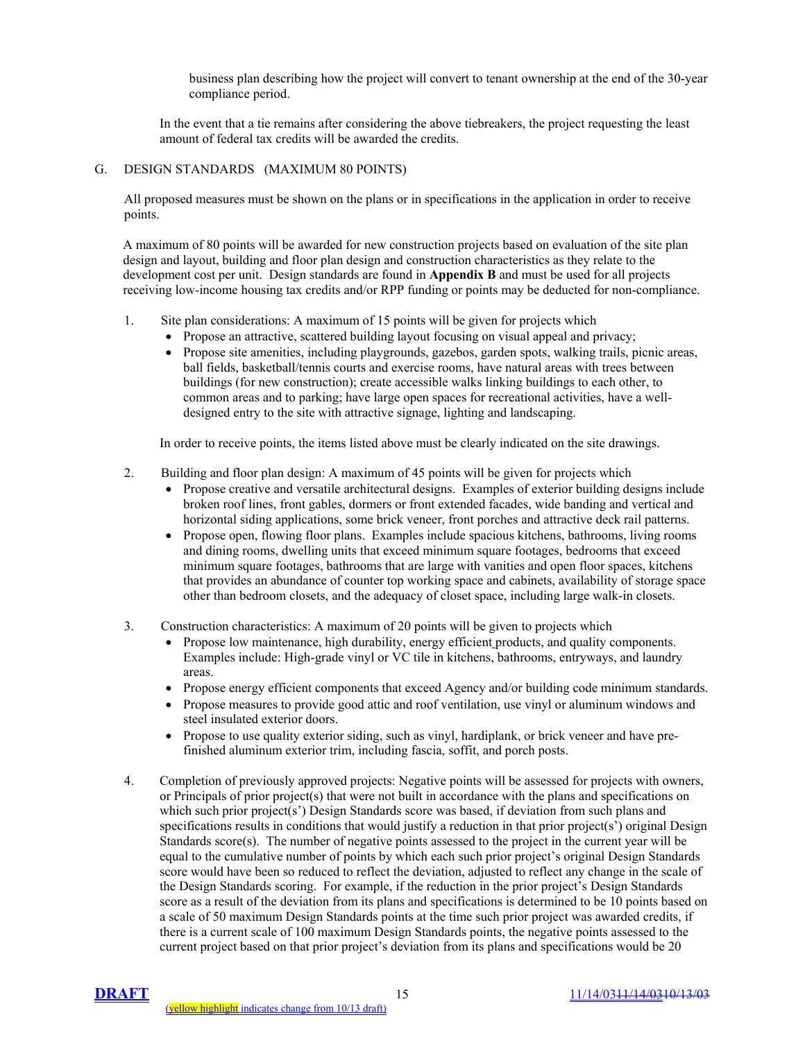business plan describing how the project will convert to tenant ownership at the end of the 30-year compliance period.

In the event that a tie remains after considering the above tiebreakers, the project requesting the least amount of federal tax credits will be awarded the credits.

#### G. DESIGN STANDARDS (MAXIMUM 80 POINTS)

All proposed measures must be shown on the plans or in specifications in the application in order to receive points.

A maximum of 80 points will be awarded for new construction projects based on evaluation of the site plan design and layout, building and floor plan design and construction characteristics as they relate to the development cost per unit. Design standards are found in **Appendix B** and must be used for all projects receiving low-income housing tax credits and/or RPP funding or points may be deducted for non-compliance.

- 1. Site plan considerations: A maximum of 15 points will be given for projects which
	- Propose an attractive, scattered building layout focusing on visual appeal and privacy;
	- Propose site amenities, including playgrounds, gazebos, garden spots, walking trails, picnic areas, ball fields, basketball/tennis courts and exercise rooms, have natural areas with trees between buildings (for new construction); create accessible walks linking buildings to each other, to common areas and to parking; have large open spaces for recreational activities, have a welldesigned entry to the site with attractive signage, lighting and landscaping.

In order to receive points, the items listed above must be clearly indicated on the site drawings.

- 2. Building and floor plan design: A maximum of 45 points will be given for projects which
	- Propose creative and versatile architectural designs. Examples of exterior building designs include broken roof lines, front gables, dormers or front extended facades, wide banding and vertical and horizontal siding applications, some brick veneer, front porches and attractive deck rail patterns.
	- Propose open, flowing floor plans. Examples include spacious kitchens, bathrooms, living rooms and dining rooms, dwelling units that exceed minimum square footages, bedrooms that exceed minimum square footages, bathrooms that are large with vanities and open floor spaces, kitchens that provides an abundance of counter top working space and cabinets, availability of storage space other than bedroom closets, and the adequacy of closet space, including large walk-in closets.
- 3. Construction characteristics: A maximum of 20 points will be given to projects which
	- Propose low maintenance, high durability, energy efficient products, and quality components. Examples include: High-grade vinyl or VC tile in kitchens, bathrooms, entryways, and laundry areas.
	- Propose energy efficient components that exceed Agency and/or building code minimum standards.
	- Propose measures to provide good attic and roof ventilation, use vinyl or aluminum windows and steel insulated exterior doors.
	- Propose to use quality exterior siding, such as vinyl, hardiplank, or brick veneer and have prefinished aluminum exterior trim, including fascia, soffit, and porch posts.
- 4. Completion of previously approved projects: Negative points will be assessed for projects with owners, or Principals of prior project(s) that were not built in accordance with the plans and specifications on which such prior project(s') Design Standards score was based, if deviation from such plans and specifications results in conditions that would justify a reduction in that prior project(s') original Design Standards score(s). The number of negative points assessed to the project in the current year will be equal to the cumulative number of points by which each such prior project's original Design Standards score would have been so reduced to reflect the deviation, adjusted to reflect any change in the scale of the Design Standards scoring. For example, if the reduction in the prior project's Design Standards score as a result of the deviation from its plans and specifications is determined to be 10 points based on a scale of 50 maximum Design Standards points at the time such prior project was awarded credits, if there is a current scale of 100 maximum Design Standards points, the negative points assessed to the current project based on that prior project's deviation from its plans and specifications would be 20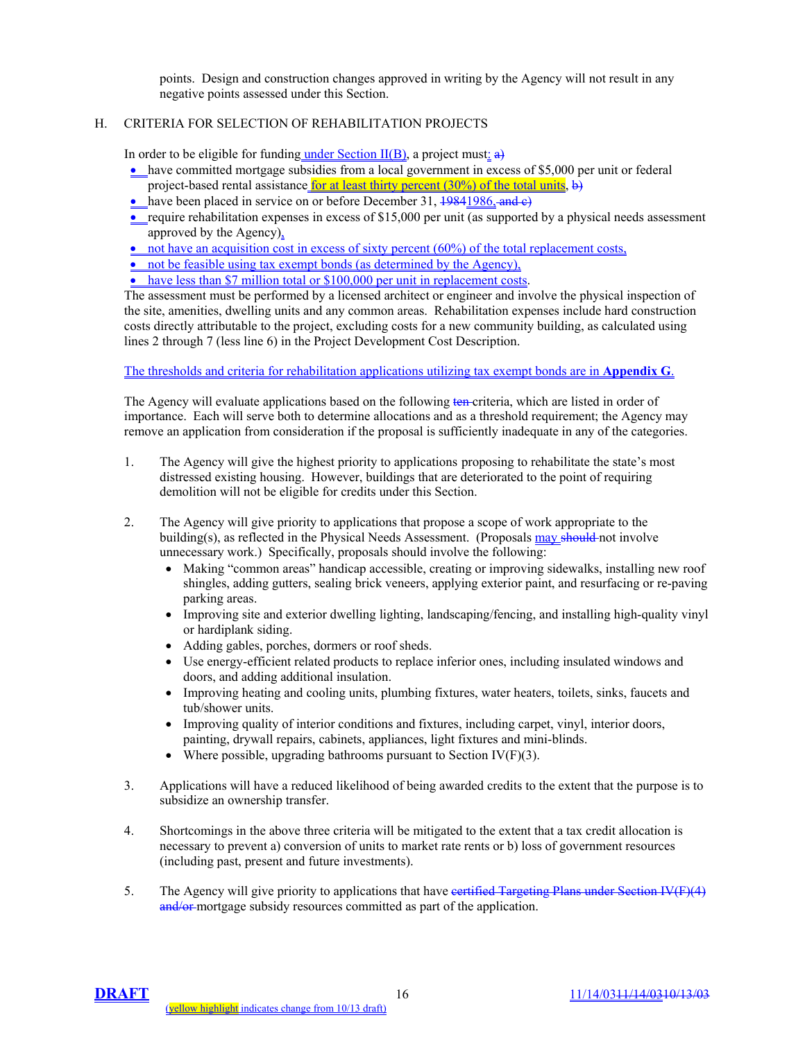points. Design and construction changes approved in writing by the Agency will not result in any negative points assessed under this Section.

# H. CRITERIA FOR SELECTION OF REHABILITATION PROJECTS

In order to be eligible for funding under Section  $II(B)$ , a project must: a)

- have committed mortgage subsidies from a local government in excess of \$5,000 per unit or federal project-based rental assistance for at least thirty percent  $(30\%)$  of the total units, b)
- have been placed in service on or before December 31,  $\frac{19841986}{19841986}$
- require rehabilitation expenses in excess of \$15,000 per unit (as supported by a physical needs assessment approved by the Agency),

 $\bullet$  not have an acquisition cost in excess of sixty percent (60%) of the total replacement costs,

- not be feasible using tax exempt bonds (as determined by the Agency),
- have less than \$7 million total or \$100,000 per unit in replacement costs.

The assessment must be performed by a licensed architect or engineer and involve the physical inspection of the site, amenities, dwelling units and any common areas. Rehabilitation expenses include hard construction costs directly attributable to the project, excluding costs for a new community building, as calculated using lines 2 through 7 (less line 6) in the Project Development Cost Description.

The thresholds and criteria for rehabilitation applications utilizing tax exempt bonds are in **Appendix G**.

The Agency will evaluate applications based on the following ten-criteria, which are listed in order of importance. Each will serve both to determine allocations and as a threshold requirement; the Agency may remove an application from consideration if the proposal is sufficiently inadequate in any of the categories.

- 1. The Agency will give the highest priority to applications proposing to rehabilitate the state's most distressed existing housing. However, buildings that are deteriorated to the point of requiring demolition will not be eligible for credits under this Section.
- 2. The Agency will give priority to applications that propose a scope of work appropriate to the building(s), as reflected in the Physical Needs Assessment. (Proposals may should not involve unnecessary work.) Specifically, proposals should involve the following:
	- Making "common areas" handicap accessible, creating or improving sidewalks, installing new roof shingles, adding gutters, sealing brick veneers, applying exterior paint, and resurfacing or re-paving parking areas.
	- Improving site and exterior dwelling lighting, landscaping/fencing, and installing high-quality vinyl or hardiplank siding.
	- Adding gables, porches, dormers or roof sheds.
	- Use energy-efficient related products to replace inferior ones, including insulated windows and doors, and adding additional insulation.
	- Improving heating and cooling units, plumbing fixtures, water heaters, toilets, sinks, faucets and tub/shower units.
	- Improving quality of interior conditions and fixtures, including carpet, vinyl, interior doors, painting, drywall repairs, cabinets, appliances, light fixtures and mini-blinds.
	- Where possible, upgrading bathrooms pursuant to Section IV( $F$ )(3).
- 3. Applications will have a reduced likelihood of being awarded credits to the extent that the purpose is to subsidize an ownership transfer.
- 4. Shortcomings in the above three criteria will be mitigated to the extent that a tax credit allocation is necessary to prevent a) conversion of units to market rate rents or b) loss of government resources (including past, present and future investments).
- 5. The Agency will give priority to applications that have eertified Targeting Plans under Section IV(F)(4) and/or mortgage subsidy resources committed as part of the application.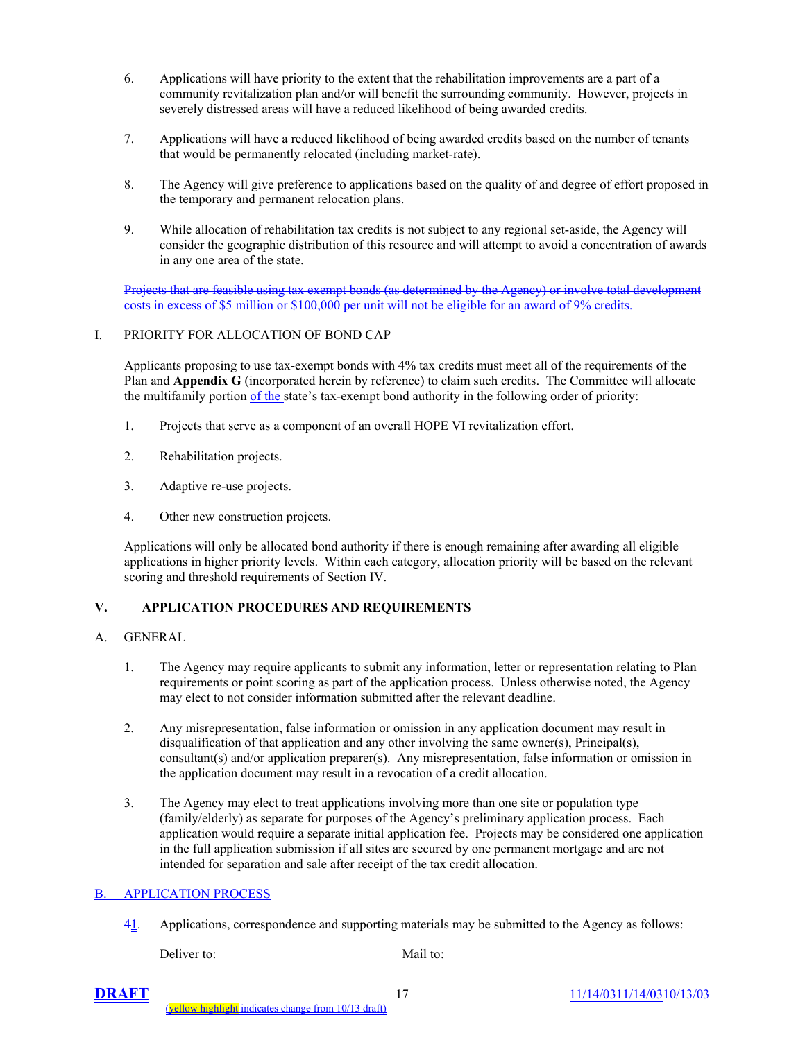- 6. Applications will have priority to the extent that the rehabilitation improvements are a part of a community revitalization plan and/or will benefit the surrounding community. However, projects in severely distressed areas will have a reduced likelihood of being awarded credits.
- 7. Applications will have a reduced likelihood of being awarded credits based on the number of tenants that would be permanently relocated (including market-rate).
- 8. The Agency will give preference to applications based on the quality of and degree of effort proposed in the temporary and permanent relocation plans.
- 9. While allocation of rehabilitation tax credits is not subject to any regional set-aside, the Agency will consider the geographic distribution of this resource and will attempt to avoid a concentration of awards in any one area of the state.

Projects that are feasible using tax exempt bonds (as determined by the Agency) or involve total development costs in excess of \$5 million or \$100,000 per unit will not be eligible for an award of 9% credits.

## I. PRIORITY FOR ALLOCATION OF BOND CAP

Applicants proposing to use tax-exempt bonds with 4% tax credits must meet all of the requirements of the Plan and **Appendix G** (incorporated herein by reference) to claim such credits. The Committee will allocate the multifamily portion of the state's tax-exempt bond authority in the following order of priority:

- 1. Projects that serve as a component of an overall HOPE VI revitalization effort.
- 2. Rehabilitation projects.
- 3. Adaptive re-use projects.
- 4. Other new construction projects.

Applications will only be allocated bond authority if there is enough remaining after awarding all eligible applications in higher priority levels. Within each category, allocation priority will be based on the relevant scoring and threshold requirements of Section IV.

# **V. APPLICATION PROCEDURES AND REQUIREMENTS**

#### A. GENERAL

- 1. The Agency may require applicants to submit any information, letter or representation relating to Plan requirements or point scoring as part of the application process. Unless otherwise noted, the Agency may elect to not consider information submitted after the relevant deadline.
- 2. Any misrepresentation, false information or omission in any application document may result in disqualification of that application and any other involving the same owner(s), Principal(s), consultant(s) and/or application preparer(s). Any misrepresentation, false information or omission in the application document may result in a revocation of a credit allocation.
- 3. The Agency may elect to treat applications involving more than one site or population type (family/elderly) as separate for purposes of the Agency's preliminary application process. Each application would require a separate initial application fee. Projects may be considered one application in the full application submission if all sites are secured by one permanent mortgage and are not intended for separation and sale after receipt of the tax credit allocation.

#### APPLICATION PROCESS

41. Applications, correspondence and supporting materials may be submitted to the Agency as follows:

Deliver to: Mail to: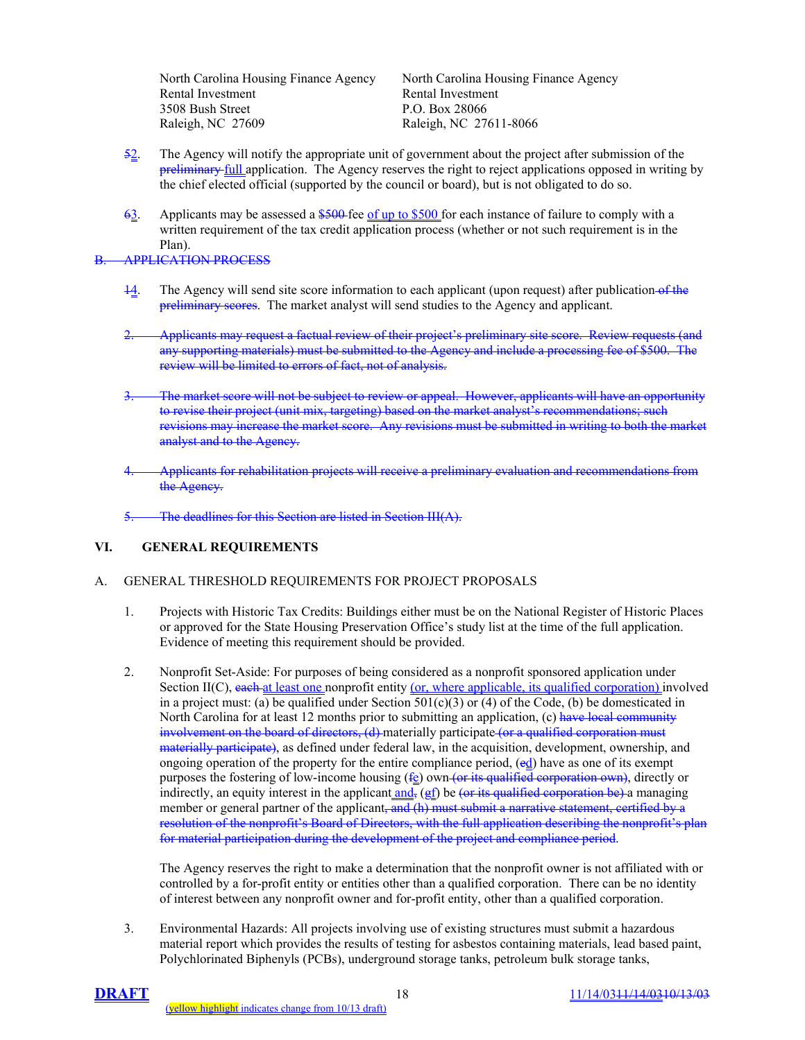North Carolina Housing Finance Agency North Carolina Housing Finance Agency Rental Investment Rental Investment 3508 Bush Street P.O. Box 28066 Raleigh, NC 27609 Raleigh, NC 27611-8066

- 52. The Agency will notify the appropriate unit of government about the project after submission of the preliminary full application. The Agency reserves the right to reject applications opposed in writing by the chief elected official (supported by the council or board), but is not obligated to do so.
- $63.$  Applicants may be assessed a  $$500$  fee of up to \$500 for each instance of failure to comply with a written requirement of the tax credit application process (whether or not such requirement is in the Plan).

# B. APPLICATION PROCESS

- 14. The Agency will send site score information to each applicant (upon request) after publication of the preliminary scores. The market analyst will send studies to the Agency and applicant.
- 2. Applicants may request a factual review of their project's preliminary site score. Review requests (and any supporting materials) must be submitted to the Agency and include a processing fee of \$500. The review will be limited to errors of fact, not of analysis.
- The market score will not be subject to review or appeal. However, applicants will have an opportunity to revise their project (unit mix, targeting) based on the market analyst's recommendations; such revisions may increase the market score. Any revisions must be submitted in writing to both the market analyst and to the Agency.
- 4. Applicants for rehabilitation projects will receive a preliminary evaluation and recommendations from the Agency.

The deadlines for this Section are listed in Section III(A).

# **VI. GENERAL REQUIREMENTS**

## A. GENERAL THRESHOLD REQUIREMENTS FOR PROJECT PROPOSALS

- 1. Projects with Historic Tax Credits: Buildings either must be on the National Register of Historic Places or approved for the State Housing Preservation Office's study list at the time of the full application. Evidence of meeting this requirement should be provided.
- 2. Nonprofit Set-Aside: For purposes of being considered as a nonprofit sponsored application under Section II(C), each at least one nonprofit entity (or, where applicable, its qualified corporation) involved in a project must: (a) be qualified under Section  $501(c)(3)$  or (4) of the Code, (b) be domesticated in North Carolina for at least 12 months prior to submitting an application,  $(c)$  have local community involvement on the board of directors, (d) materially participate (or a qualified corporation must materially participate), as defined under federal law, in the acquisition, development, ownership, and ongoing operation of the property for the entire compliance period, (ed) have as one of its exempt purposes the fostering of low-income housing  $(f<sub>e</sub>)$  own (or its qualified corporation own), directly or indirectly, an equity interest in the applicant and,  $(gf)$  be (or its qualified corporation be) a managing member or general partner of the applicant, and (h) must submit a narrative statement, certified by a resolution of the nonprofit's Board of Directors, with the full application describing the nonprofit's plan for material participation during the development of the project and compliance period.

The Agency reserves the right to make a determination that the nonprofit owner is not affiliated with or controlled by a for-profit entity or entities other than a qualified corporation. There can be no identity of interest between any nonprofit owner and for-profit entity, other than a qualified corporation.

3. Environmental Hazards: All projects involving use of existing structures must submit a hazardous material report which provides the results of testing for asbestos containing materials, lead based paint, Polychlorinated Biphenyls (PCBs), underground storage tanks, petroleum bulk storage tanks,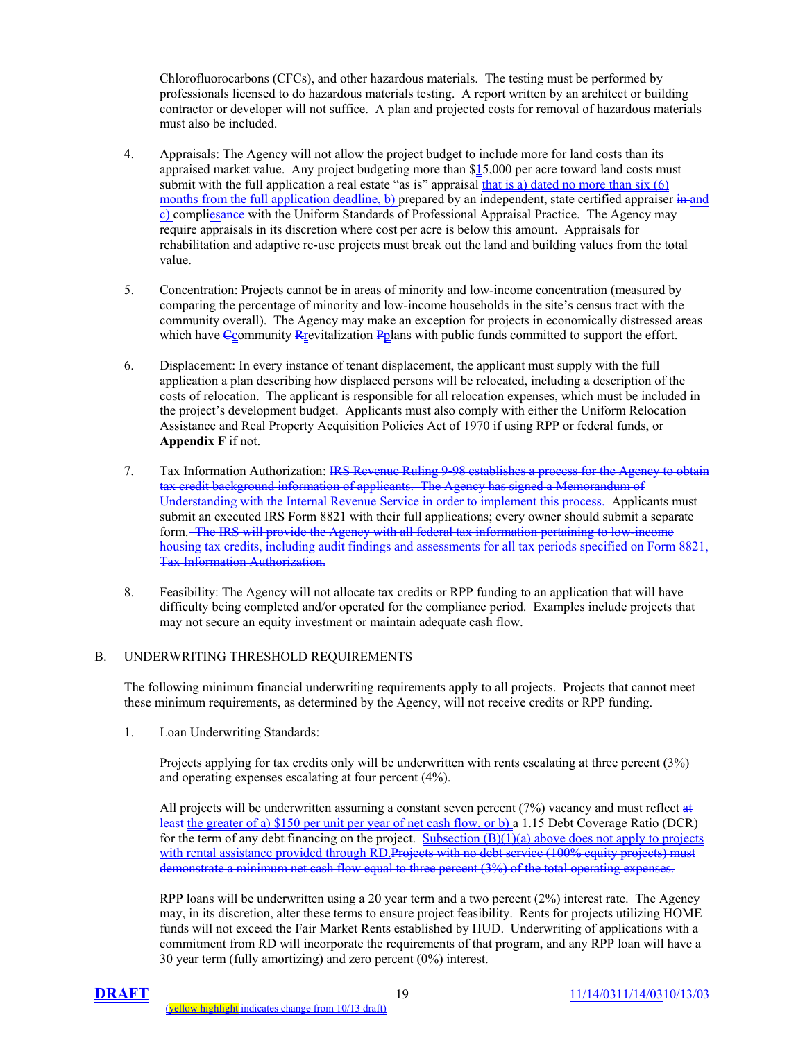Chlorofluorocarbons (CFCs), and other hazardous materials. The testing must be performed by professionals licensed to do hazardous materials testing. A report written by an architect or building contractor or developer will not suffice. A plan and projected costs for removal of hazardous materials must also be included.

- 4. Appraisals: The Agency will not allow the project budget to include more for land costs than its appraised market value. Any project budgeting more than \$15,000 per acre toward land costs must submit with the full application a real estate "as is" appraisal that is a) dated no more than six (6) months from the full application deadline, b) prepared by an independent, state certified appraiser in and c) compliesance with the Uniform Standards of Professional Appraisal Practice. The Agency may require appraisals in its discretion where cost per acre is below this amount. Appraisals for rehabilitation and adaptive re-use projects must break out the land and building values from the total value.
- 5. Concentration: Projects cannot be in areas of minority and low-income concentration (measured by comparing the percentage of minority and low-income households in the site's census tract with the community overall). The Agency may make an exception for projects in economically distressed areas which have  $\epsilon$  community Reportatization Pplans with public funds committed to support the effort.
- 6. Displacement: In every instance of tenant displacement, the applicant must supply with the full application a plan describing how displaced persons will be relocated, including a description of the costs of relocation. The applicant is responsible for all relocation expenses, which must be included in the project's development budget. Applicants must also comply with either the Uniform Relocation Assistance and Real Property Acquisition Policies Act of 1970 if using RPP or federal funds, or **Appendix F** if not.
- 7. Tax Information Authorization: IRS Revenue Ruling 9-98 establishes a process for the Agency to obtain tax credit background information of applicants. The Agency has signed a Memorandum of Understanding with the Internal Revenue Service in order to implement this process. Applicants must submit an executed IRS Form 8821 with their full applications; every owner should submit a separate form. The IRS will provide the Agency with all federal tax information pertaining to low income housing tax credits, including audit findings and assessments for all tax periods specified on Form 8821, Tax Information Authorization.
- 8. Feasibility: The Agency will not allocate tax credits or RPP funding to an application that will have difficulty being completed and/or operated for the compliance period. Examples include projects that may not secure an equity investment or maintain adequate cash flow.

## B. UNDERWRITING THRESHOLD REQUIREMENTS

The following minimum financial underwriting requirements apply to all projects. Projects that cannot meet these minimum requirements, as determined by the Agency, will not receive credits or RPP funding.

1. Loan Underwriting Standards:

 Projects applying for tax credits only will be underwritten with rents escalating at three percent (3%) and operating expenses escalating at four percent (4%).

All projects will be underwritten assuming a constant seven percent  $(7%)$  vacancy and must reflect  $\alpha$ + least the greater of a) \$150 per unit per year of net cash flow, or b) a 1.15 Debt Coverage Ratio (DCR) for the term of any debt financing on the project. Subsection  $(B)(1)(a)$  above does not apply to projects with rental assistance provided through RD. Projects with no debt service (100% equity projects) must demonstrate a minimum net cash flow equal to three percent (3%) of the total operating expenses.

 RPP loans will be underwritten using a 20 year term and a two percent (2%) interest rate. The Agency may, in its discretion, alter these terms to ensure project feasibility. Rents for projects utilizing HOME funds will not exceed the Fair Market Rents established by HUD. Underwriting of applications with a commitment from RD will incorporate the requirements of that program, and any RPP loan will have a 30 year term (fully amortizing) and zero percent (0%) interest.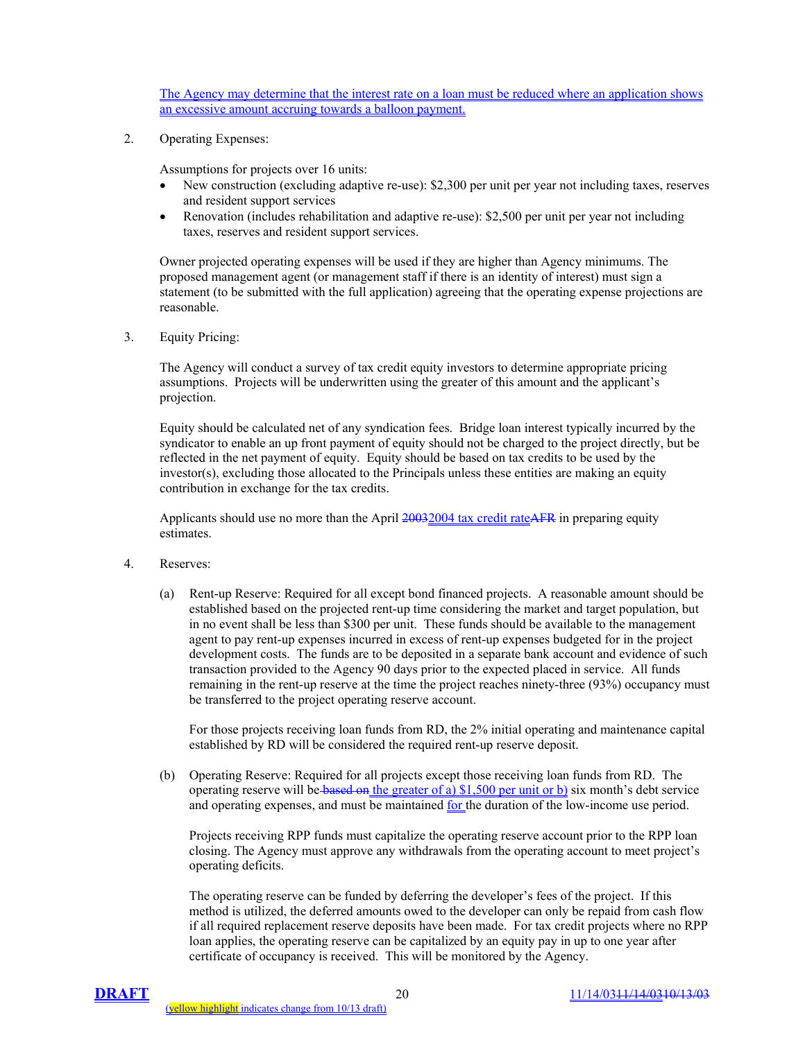The Agency may determine that the interest rate on a loan must be reduced where an application shows an excessive amount accruing towards a balloon payment.

2. Operating Expenses:

Assumptions for projects over 16 units:

- New construction (excluding adaptive re-use): \$2,300 per unit per year not including taxes, reserves and resident support services
- Renovation (includes rehabilitation and adaptive re-use): \$2,500 per unit per year not including taxes, reserves and resident support services.

Owner projected operating expenses will be used if they are higher than Agency minimums. The proposed management agent (or management staff if there is an identity of interest) must sign a statement (to be submitted with the full application) agreeing that the operating expense projections are reasonable.

3. Equity Pricing:

 The Agency will conduct a survey of tax credit equity investors to determine appropriate pricing assumptions. Projects will be underwritten using the greater of this amount and the applicant's projection.

 Equity should be calculated net of any syndication fees. Bridge loan interest typically incurred by the syndicator to enable an up front payment of equity should not be charged to the project directly, but be reflected in the net payment of equity. Equity should be based on tax credits to be used by the investor(s), excluding those allocated to the Principals unless these entities are making an equity contribution in exchange for the tax credits.

Applicants should use no more than the April 20032004 tax credit rateAFR in preparing equity estimates.

- 4. Reserves:
	- (a) Rent-up Reserve: Required for all except bond financed projects. A reasonable amount should be established based on the projected rent-up time considering the market and target population, but in no event shall be less than \$300 per unit. These funds should be available to the management agent to pay rent-up expenses incurred in excess of rent-up expenses budgeted for in the project development costs. The funds are to be deposited in a separate bank account and evidence of such transaction provided to the Agency 90 days prior to the expected placed in service. All funds remaining in the rent-up reserve at the time the project reaches ninety-three (93%) occupancy must be transferred to the project operating reserve account.

For those projects receiving loan funds from RD, the 2% initial operating and maintenance capital established by RD will be considered the required rent-up reserve deposit.

(b) Operating Reserve: Required for all projects except those receiving loan funds from RD. The operating reserve will be based on the greater of a)  $\frac{1}{500}$  per unit or b) six month's debt service and operating expenses, and must be maintained for the duration of the low-income use period.

Projects receiving RPP funds must capitalize the operating reserve account prior to the RPP loan closing. The Agency must approve any withdrawals from the operating account to meet project's operating deficits.

The operating reserve can be funded by deferring the developer's fees of the project. If this method is utilized, the deferred amounts owed to the developer can only be repaid from cash flow if all required replacement reserve deposits have been made. For tax credit projects where no RPP loan applies, the operating reserve can be capitalized by an equity pay in up to one year after certificate of occupancy is received. This will be monitored by the Agency.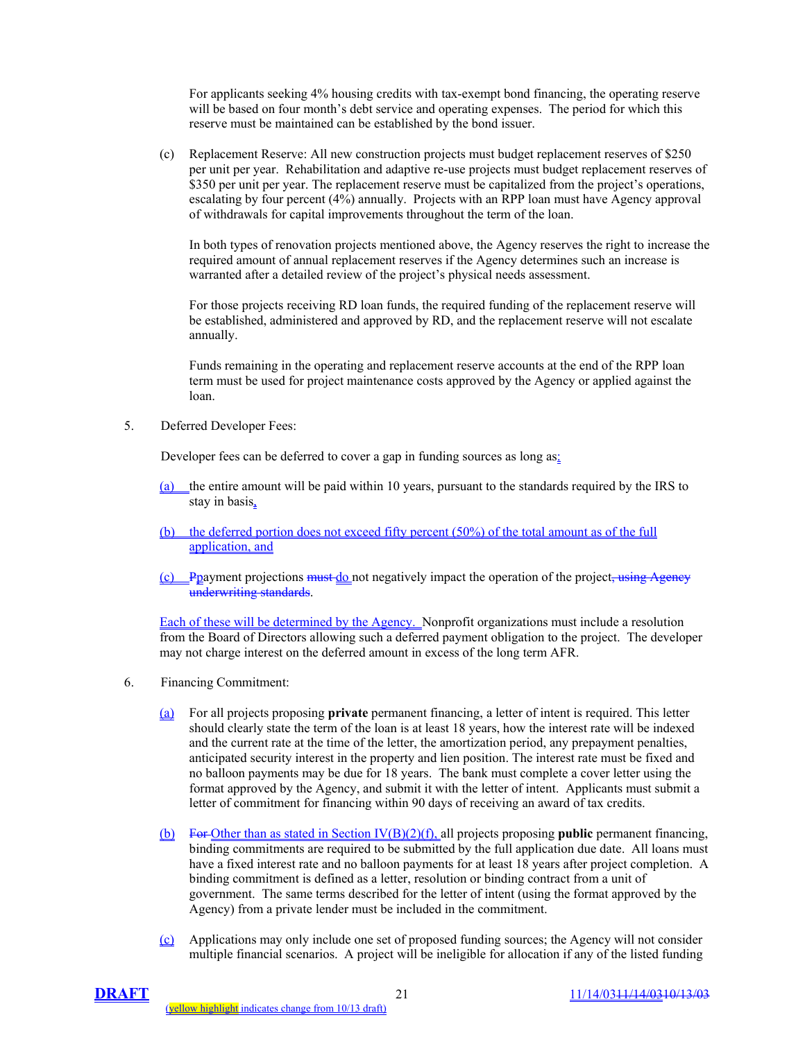For applicants seeking 4% housing credits with tax-exempt bond financing, the operating reserve will be based on four month's debt service and operating expenses. The period for which this reserve must be maintained can be established by the bond issuer.

(c) Replacement Reserve: All new construction projects must budget replacement reserves of \$250 per unit per year. Rehabilitation and adaptive re-use projects must budget replacement reserves of \$350 per unit per year. The replacement reserve must be capitalized from the project's operations, escalating by four percent (4%) annually. Projects with an RPP loan must have Agency approval of withdrawals for capital improvements throughout the term of the loan.

 In both types of renovation projects mentioned above, the Agency reserves the right to increase the required amount of annual replacement reserves if the Agency determines such an increase is warranted after a detailed review of the project's physical needs assessment.

 For those projects receiving RD loan funds, the required funding of the replacement reserve will be established, administered and approved by RD, and the replacement reserve will not escalate annually.

 Funds remaining in the operating and replacement reserve accounts at the end of the RPP loan term must be used for project maintenance costs approved by the Agency or applied against the loan.

5. Deferred Developer Fees:

Developer fees can be deferred to cover a gap in funding sources as long as:

- (a) the entire amount will be paid within 10 years, pursuant to the standards required by the IRS to stay in basis,
- (b) the deferred portion does not exceed fifty percent (50%) of the total amount as of the full application, and
- $(c)$  Ppayment projections must do not negatively impact the operation of the project, using Agency underwriting standards.

Each of these will be determined by the Agency. Nonprofit organizations must include a resolution from the Board of Directors allowing such a deferred payment obligation to the project. The developer may not charge interest on the deferred amount in excess of the long term AFR.

- 6. Financing Commitment:
	- (a) For all projects proposing **private** permanent financing, a letter of intent is required. This letter should clearly state the term of the loan is at least 18 years, how the interest rate will be indexed and the current rate at the time of the letter, the amortization period, any prepayment penalties, anticipated security interest in the property and lien position. The interest rate must be fixed and no balloon payments may be due for 18 years. The bank must complete a cover letter using the format approved by the Agency, and submit it with the letter of intent. Applicants must submit a letter of commitment for financing within 90 days of receiving an award of tax credits.
	- (b) For Other than as stated in Section IV(B)(2)(f), all projects proposing **public** permanent financing, binding commitments are required to be submitted by the full application due date. All loans must have a fixed interest rate and no balloon payments for at least 18 years after project completion. A binding commitment is defined as a letter, resolution or binding contract from a unit of government. The same terms described for the letter of intent (using the format approved by the Agency) from a private lender must be included in the commitment.
	- (c) Applications may only include one set of proposed funding sources; the Agency will not consider multiple financial scenarios. A project will be ineligible for allocation if any of the listed funding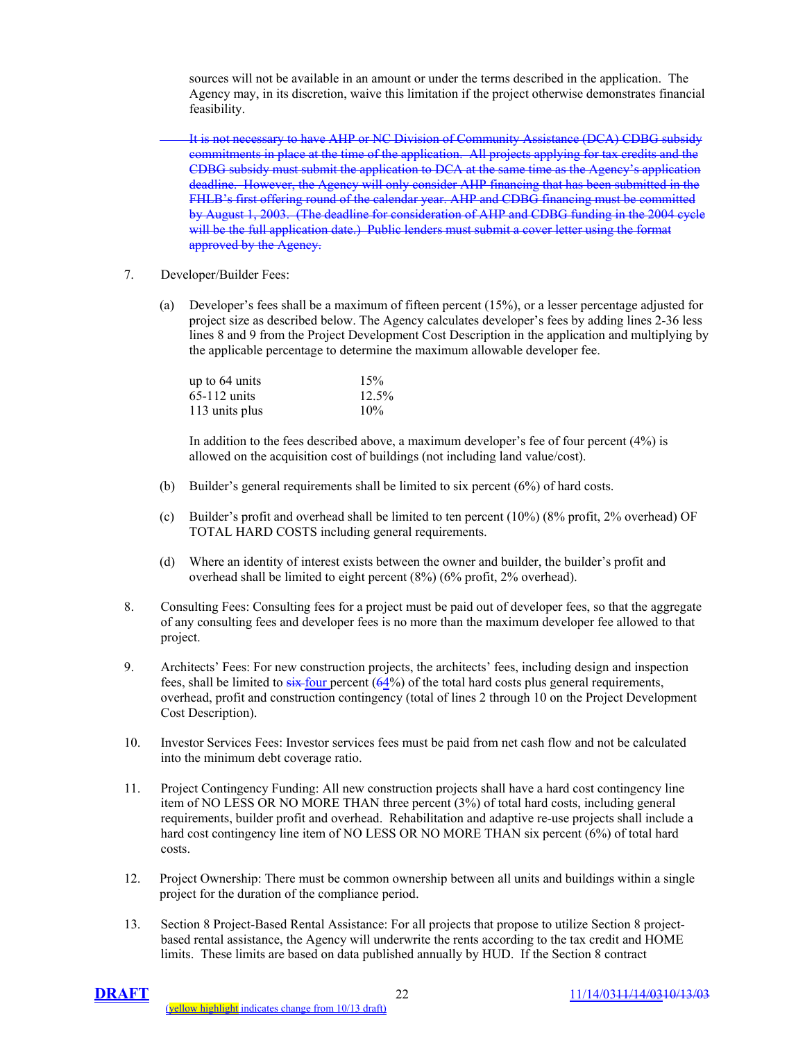sources will not be available in an amount or under the terms described in the application. The Agency may, in its discretion, waive this limitation if the project otherwise demonstrates financial feasibility.

It is not necessary to have AHP or NC Division of Community Assistance (DCA) CDBG subsidy commitments in place at the time of the application. All projects applying for tax credits and the CDBG subsidy must submit the application to DCA at the same time as the Agency's application deadline. However, the Agency will only consider AHP financing that has been submitted in the FHLB's first offering round of the calendar year. AHP and CDBG financing must be committed by August 1, 2003. (The deadline for consideration of AHP and CDBG funding in the 2004 cycle will be the full application date.) Public lenders must submit a cover letter using the format approved by the Agency.

- 7. Developer/Builder Fees:
	- (a) Developer's fees shall be a maximum of fifteen percent (15%), or a lesser percentage adjusted for project size as described below. The Agency calculates developer's fees by adding lines 2-36 less lines 8 and 9 from the Project Development Cost Description in the application and multiplying by the applicable percentage to determine the maximum allowable developer fee.

| up to $64 \text{ units}$ | 15%   |
|--------------------------|-------|
| $65-112$ units           | 12.5% |
| 113 units plus           | 10%   |

 In addition to the fees described above, a maximum developer's fee of four percent (4%) is allowed on the acquisition cost of buildings (not including land value/cost).

- (b) Builder's general requirements shall be limited to six percent (6%) of hard costs.
- (c) Builder's profit and overhead shall be limited to ten percent  $(10\%)$  (8% profit, 2% overhead) OF TOTAL HARD COSTS including general requirements.
- (d) Where an identity of interest exists between the owner and builder, the builder's profit and overhead shall be limited to eight percent (8%) (6% profit, 2% overhead).
- 8. Consulting Fees: Consulting fees for a project must be paid out of developer fees, so that the aggregate of any consulting fees and developer fees is no more than the maximum developer fee allowed to that project.
- 9. Architects' Fees: For new construction projects, the architects' fees, including design and inspection fees, shall be limited to  $s$ ix-four percent (64%) of the total hard costs plus general requirements, overhead, profit and construction contingency (total of lines 2 through 10 on the Project Development Cost Description).
- 10. Investor Services Fees: Investor services fees must be paid from net cash flow and not be calculated into the minimum debt coverage ratio.
- 11. Project Contingency Funding: All new construction projects shall have a hard cost contingency line item of NO LESS OR NO MORE THAN three percent (3%) of total hard costs, including general requirements, builder profit and overhead. Rehabilitation and adaptive re-use projects shall include a hard cost contingency line item of NO LESS OR NO MORE THAN six percent (6%) of total hard costs.
- 12. Project Ownership: There must be common ownership between all units and buildings within a single project for the duration of the compliance period.
- 13. Section 8 Project-Based Rental Assistance: For all projects that propose to utilize Section 8 projectbased rental assistance, the Agency will underwrite the rents according to the tax credit and HOME limits. These limits are based on data published annually by HUD. If the Section 8 contract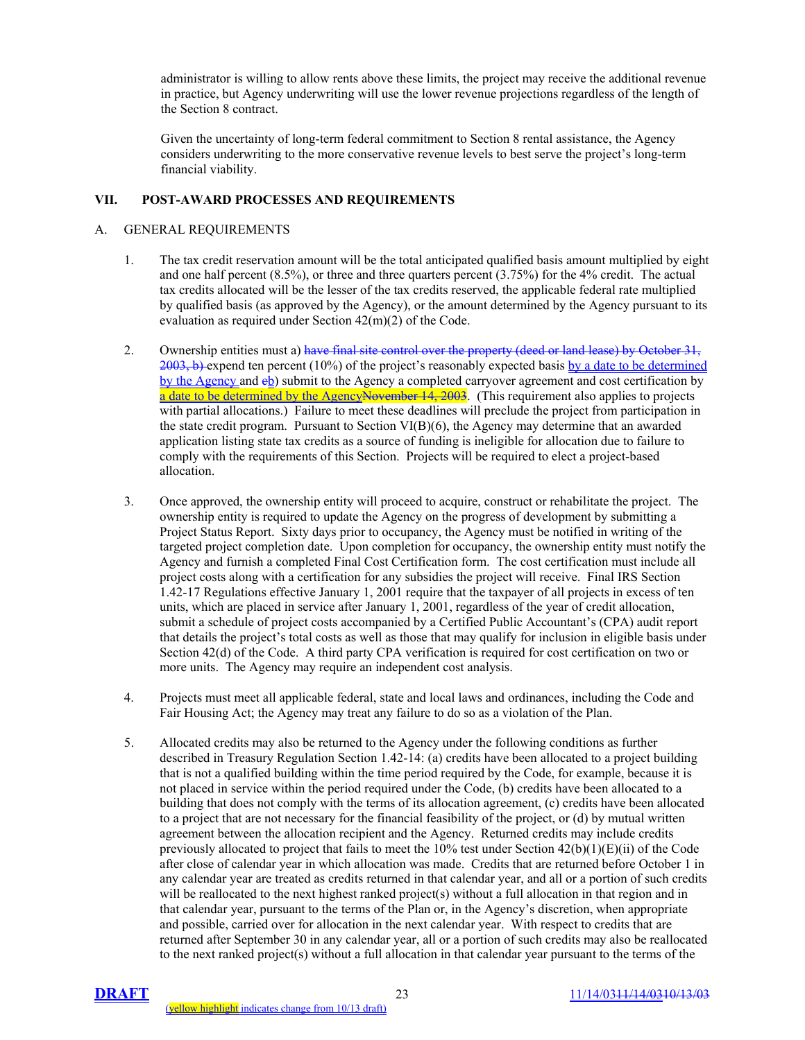administrator is willing to allow rents above these limits, the project may receive the additional revenue in practice, but Agency underwriting will use the lower revenue projections regardless of the length of the Section 8 contract.

 Given the uncertainty of long-term federal commitment to Section 8 rental assistance, the Agency considers underwriting to the more conservative revenue levels to best serve the project's long-term financial viability.

# **VII. POST-AWARD PROCESSES AND REQUIREMENTS**

#### A. GENERAL REQUIREMENTS

- 1. The tax credit reservation amount will be the total anticipated qualified basis amount multiplied by eight and one half percent (8.5%), or three and three quarters percent (3.75%) for the 4% credit. The actual tax credits allocated will be the lesser of the tax credits reserved, the applicable federal rate multiplied by qualified basis (as approved by the Agency), or the amount determined by the Agency pursuant to its evaluation as required under Section 42(m)(2) of the Code.
- 2. Ownership entities must a) have final site control over the property (deed or land lease) by October 31,  $2003$ , b) expend ten percent (10%) of the project's reasonably expected basis by a date to be determined by the Agency and eb) submit to the Agency a completed carryover agreement and cost certification by a date to be determined by the AgencyNovember 14, 2003. (This requirement also applies to projects with partial allocations.) Failure to meet these deadlines will preclude the project from participation in the state credit program. Pursuant to Section  $VI(B)(6)$ , the Agency may determine that an awarded application listing state tax credits as a source of funding is ineligible for allocation due to failure to comply with the requirements of this Section. Projects will be required to elect a project-based allocation.
- 3. Once approved, the ownership entity will proceed to acquire, construct or rehabilitate the project. The ownership entity is required to update the Agency on the progress of development by submitting a Project Status Report. Sixty days prior to occupancy, the Agency must be notified in writing of the targeted project completion date. Upon completion for occupancy, the ownership entity must notify the Agency and furnish a completed Final Cost Certification form. The cost certification must include all project costs along with a certification for any subsidies the project will receive. Final IRS Section 1.42-17 Regulations effective January 1, 2001 require that the taxpayer of all projects in excess of ten units, which are placed in service after January 1, 2001, regardless of the year of credit allocation, submit a schedule of project costs accompanied by a Certified Public Accountant's (CPA) audit report that details the project's total costs as well as those that may qualify for inclusion in eligible basis under Section 42(d) of the Code. A third party CPA verification is required for cost certification on two or more units. The Agency may require an independent cost analysis.
- 4. Projects must meet all applicable federal, state and local laws and ordinances, including the Code and Fair Housing Act; the Agency may treat any failure to do so as a violation of the Plan.
- 5. Allocated credits may also be returned to the Agency under the following conditions as further described in Treasury Regulation Section 1.42-14: (a) credits have been allocated to a project building that is not a qualified building within the time period required by the Code, for example, because it is not placed in service within the period required under the Code, (b) credits have been allocated to a building that does not comply with the terms of its allocation agreement, (c) credits have been allocated to a project that are not necessary for the financial feasibility of the project, or (d) by mutual written agreement between the allocation recipient and the Agency. Returned credits may include credits previously allocated to project that fails to meet the  $10\%$  test under Section  $42(b)(1)(E)(ii)$  of the Code after close of calendar year in which allocation was made. Credits that are returned before October 1 in any calendar year are treated as credits returned in that calendar year, and all or a portion of such credits will be reallocated to the next highest ranked project(s) without a full allocation in that region and in that calendar year, pursuant to the terms of the Plan or, in the Agency's discretion, when appropriate and possible, carried over for allocation in the next calendar year. With respect to credits that are returned after September 30 in any calendar year, all or a portion of such credits may also be reallocated to the next ranked project(s) without a full allocation in that calendar year pursuant to the terms of the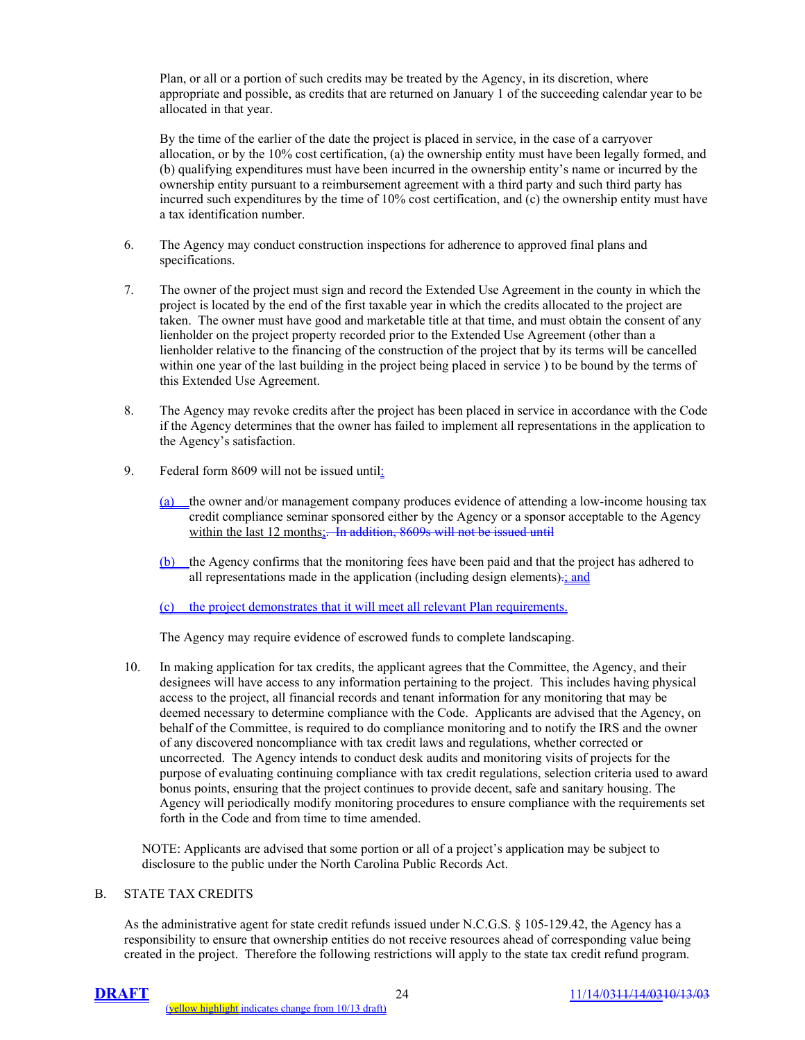Plan, or all or a portion of such credits may be treated by the Agency, in its discretion, where appropriate and possible, as credits that are returned on January 1 of the succeeding calendar year to be allocated in that year.

 By the time of the earlier of the date the project is placed in service, in the case of a carryover allocation, or by the 10% cost certification, (a) the ownership entity must have been legally formed, and (b) qualifying expenditures must have been incurred in the ownership entity's name or incurred by the ownership entity pursuant to a reimbursement agreement with a third party and such third party has incurred such expenditures by the time of 10% cost certification, and (c) the ownership entity must have a tax identification number.

- 6. The Agency may conduct construction inspections for adherence to approved final plans and specifications.
- 7. The owner of the project must sign and record the Extended Use Agreement in the county in which the project is located by the end of the first taxable year in which the credits allocated to the project are taken. The owner must have good and marketable title at that time, and must obtain the consent of any lienholder on the project property recorded prior to the Extended Use Agreement (other than a lienholder relative to the financing of the construction of the project that by its terms will be cancelled within one year of the last building in the project being placed in service ) to be bound by the terms of this Extended Use Agreement.
- 8. The Agency may revoke credits after the project has been placed in service in accordance with the Code if the Agency determines that the owner has failed to implement all representations in the application to the Agency's satisfaction.
- 9. Federal form 8609 will not be issued until:
	- (a) the owner and/or management company produces evidence of attending a low-income housing tax credit compliance seminar sponsored either by the Agency or a sponsor acceptable to the Agency within the last 12 months; In addition, 8609s will not be issued until
	- (b) the Agency confirms that the monitoring fees have been paid and that the project has adhered to all representations made in the application (including design elements)-; and

(c) the project demonstrates that it will meet all relevant Plan requirements.

The Agency may require evidence of escrowed funds to complete landscaping.

10. In making application for tax credits, the applicant agrees that the Committee, the Agency, and their designees will have access to any information pertaining to the project. This includes having physical access to the project, all financial records and tenant information for any monitoring that may be deemed necessary to determine compliance with the Code. Applicants are advised that the Agency, on behalf of the Committee, is required to do compliance monitoring and to notify the IRS and the owner of any discovered noncompliance with tax credit laws and regulations, whether corrected or uncorrected. The Agency intends to conduct desk audits and monitoring visits of projects for the purpose of evaluating continuing compliance with tax credit regulations, selection criteria used to award bonus points, ensuring that the project continues to provide decent, safe and sanitary housing. The Agency will periodically modify monitoring procedures to ensure compliance with the requirements set forth in the Code and from time to time amended.

NOTE: Applicants are advised that some portion or all of a project's application may be subject to disclosure to the public under the North Carolina Public Records Act.

#### B. STATE TAX CREDITS

As the administrative agent for state credit refunds issued under N.C.G.S. § 105-129.42, the Agency has a responsibility to ensure that ownership entities do not receive resources ahead of corresponding value being created in the project. Therefore the following restrictions will apply to the state tax credit refund program.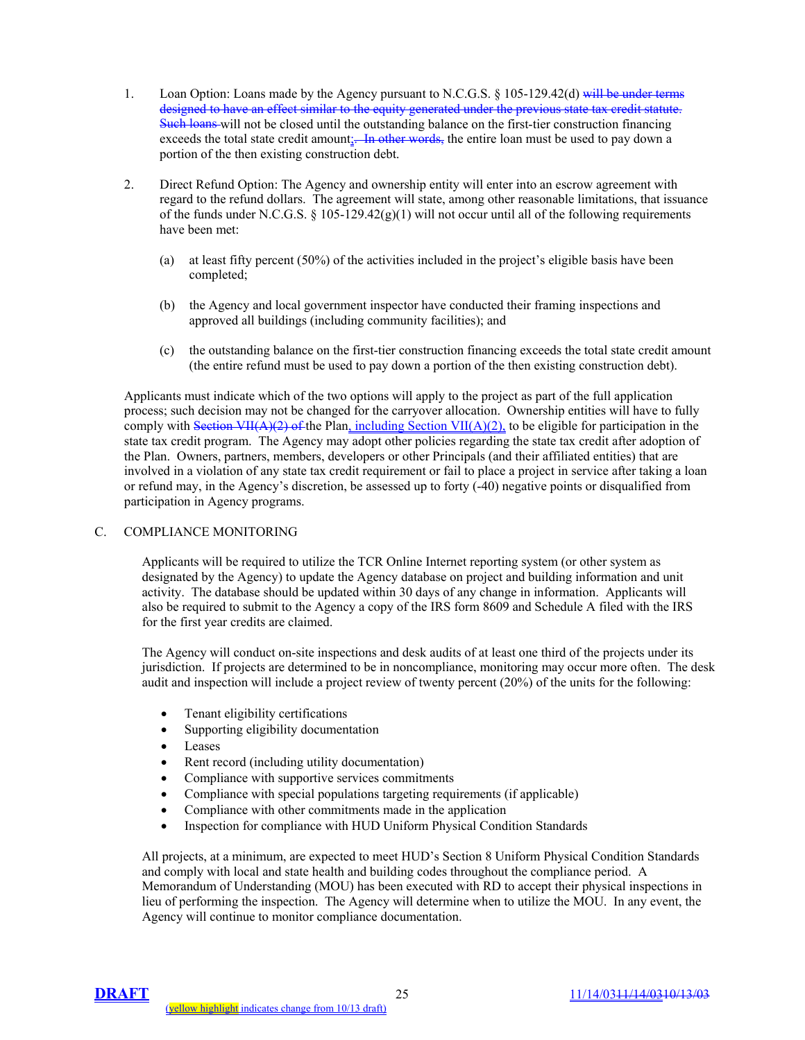- 1. Loan Option: Loans made by the Agency pursuant to N.C.G.S. § 105-129.42(d) will be under terms designed to have an effect similar to the equity generated under the previous state tax credit statute. Such loans will not be closed until the outstanding balance on the first-tier construction financing exceeds the total state credit amount;—In other words, the entire loan must be used to pay down a portion of the then existing construction debt.
- 2. Direct Refund Option: The Agency and ownership entity will enter into an escrow agreement with regard to the refund dollars. The agreement will state, among other reasonable limitations, that issuance of the funds under N.C.G.S.  $\S 105-129.42(g)(1)$  will not occur until all of the following requirements have been met:
	- (a) at least fifty percent (50%) of the activities included in the project's eligible basis have been completed;
	- (b) the Agency and local government inspector have conducted their framing inspections and approved all buildings (including community facilities); and
	- (c) the outstanding balance on the first-tier construction financing exceeds the total state credit amount (the entire refund must be used to pay down a portion of the then existing construction debt).

Applicants must indicate which of the two options will apply to the project as part of the full application process; such decision may not be changed for the carryover allocation. Ownership entities will have to fully comply with Section VII( $A$ )(2) of the Plan, including Section VII( $A$ )(2), to be eligible for participation in the state tax credit program. The Agency may adopt other policies regarding the state tax credit after adoption of the Plan. Owners, partners, members, developers or other Principals (and their affiliated entities) that are involved in a violation of any state tax credit requirement or fail to place a project in service after taking a loan or refund may, in the Agency's discretion, be assessed up to forty (-40) negative points or disqualified from participation in Agency programs.

## C. COMPLIANCE MONITORING

Applicants will be required to utilize the TCR Online Internet reporting system (or other system as designated by the Agency) to update the Agency database on project and building information and unit activity. The database should be updated within 30 days of any change in information. Applicants will also be required to submit to the Agency a copy of the IRS form 8609 and Schedule A filed with the IRS for the first year credits are claimed.

The Agency will conduct on-site inspections and desk audits of at least one third of the projects under its jurisdiction. If projects are determined to be in noncompliance, monitoring may occur more often. The desk audit and inspection will include a project review of twenty percent (20%) of the units for the following:

- Tenant eligibility certifications
- Supporting eligibility documentation
- Leases
- Rent record (including utility documentation)
- Compliance with supportive services commitments
- Compliance with special populations targeting requirements (if applicable)
- Compliance with other commitments made in the application
- Inspection for compliance with HUD Uniform Physical Condition Standards

All projects, at a minimum, are expected to meet HUD's Section 8 Uniform Physical Condition Standards and comply with local and state health and building codes throughout the compliance period. A Memorandum of Understanding (MOU) has been executed with RD to accept their physical inspections in lieu of performing the inspection. The Agency will determine when to utilize the MOU. In any event, the Agency will continue to monitor compliance documentation.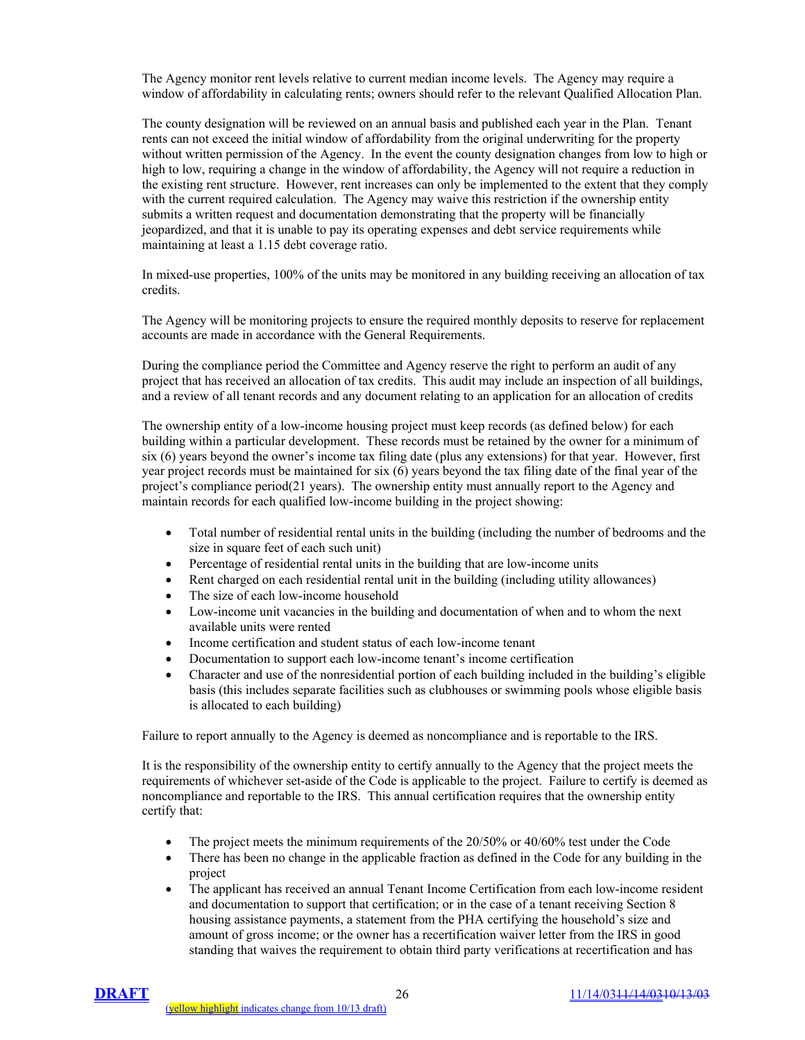The Agency monitor rent levels relative to current median income levels. The Agency may require a window of affordability in calculating rents; owners should refer to the relevant Qualified Allocation Plan.

The county designation will be reviewed on an annual basis and published each year in the Plan. Tenant rents can not exceed the initial window of affordability from the original underwriting for the property without written permission of the Agency. In the event the county designation changes from low to high or high to low, requiring a change in the window of affordability, the Agency will not require a reduction in the existing rent structure. However, rent increases can only be implemented to the extent that they comply with the current required calculation. The Agency may waive this restriction if the ownership entity submits a written request and documentation demonstrating that the property will be financially jeopardized, and that it is unable to pay its operating expenses and debt service requirements while maintaining at least a 1.15 debt coverage ratio.

In mixed-use properties, 100% of the units may be monitored in any building receiving an allocation of tax credits.

The Agency will be monitoring projects to ensure the required monthly deposits to reserve for replacement accounts are made in accordance with the General Requirements.

During the compliance period the Committee and Agency reserve the right to perform an audit of any project that has received an allocation of tax credits. This audit may include an inspection of all buildings, and a review of all tenant records and any document relating to an application for an allocation of credits

The ownership entity of a low-income housing project must keep records (as defined below) for each building within a particular development. These records must be retained by the owner for a minimum of six (6) years beyond the owner's income tax filing date (plus any extensions) for that year. However, first year project records must be maintained for six (6) years beyond the tax filing date of the final year of the project's compliance period(21 years). The ownership entity must annually report to the Agency and maintain records for each qualified low-income building in the project showing:

- Total number of residential rental units in the building (including the number of bedrooms and the size in square feet of each such unit)
- Percentage of residential rental units in the building that are low-income units
- Rent charged on each residential rental unit in the building (including utility allowances)
- The size of each low-income household
- Low-income unit vacancies in the building and documentation of when and to whom the next available units were rented
- Income certification and student status of each low-income tenant
- Documentation to support each low-income tenant's income certification
- Character and use of the nonresidential portion of each building included in the building's eligible basis (this includes separate facilities such as clubhouses or swimming pools whose eligible basis is allocated to each building)

Failure to report annually to the Agency is deemed as noncompliance and is reportable to the IRS.

It is the responsibility of the ownership entity to certify annually to the Agency that the project meets the requirements of whichever set-aside of the Code is applicable to the project. Failure to certify is deemed as noncompliance and reportable to the IRS. This annual certification requires that the ownership entity certify that:

- The project meets the minimum requirements of the 20/50% or 40/60% test under the Code
- There has been no change in the applicable fraction as defined in the Code for any building in the project
- The applicant has received an annual Tenant Income Certification from each low-income resident and documentation to support that certification; or in the case of a tenant receiving Section 8 housing assistance payments, a statement from the PHA certifying the household's size and amount of gross income; or the owner has a recertification waiver letter from the IRS in good standing that waives the requirement to obtain third party verifications at recertification and has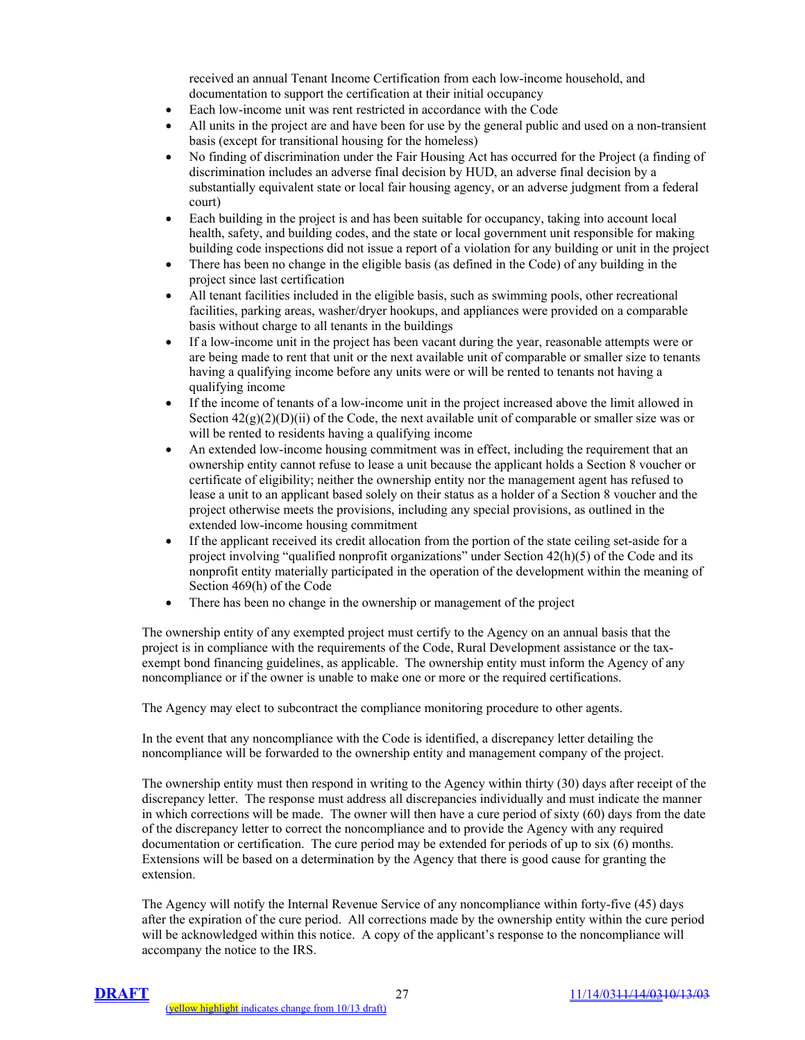received an annual Tenant Income Certification from each low-income household, and documentation to support the certification at their initial occupancy

- Each low-income unit was rent restricted in accordance with the Code
- All units in the project are and have been for use by the general public and used on a non-transient basis (except for transitional housing for the homeless)
- No finding of discrimination under the Fair Housing Act has occurred for the Project (a finding of discrimination includes an adverse final decision by HUD, an adverse final decision by a substantially equivalent state or local fair housing agency, or an adverse judgment from a federal court)
- Each building in the project is and has been suitable for occupancy, taking into account local health, safety, and building codes, and the state or local government unit responsible for making building code inspections did not issue a report of a violation for any building or unit in the project
- There has been no change in the eligible basis (as defined in the Code) of any building in the project since last certification
- All tenant facilities included in the eligible basis, such as swimming pools, other recreational facilities, parking areas, washer/dryer hookups, and appliances were provided on a comparable basis without charge to all tenants in the buildings
- If a low-income unit in the project has been vacant during the year, reasonable attempts were or are being made to rent that unit or the next available unit of comparable or smaller size to tenants having a qualifying income before any units were or will be rented to tenants not having a qualifying income
- If the income of tenants of a low-income unit in the project increased above the limit allowed in Section  $42(g)(2)(D)(ii)$  of the Code, the next available unit of comparable or smaller size was or will be rented to residents having a qualifying income
- An extended low-income housing commitment was in effect, including the requirement that an ownership entity cannot refuse to lease a unit because the applicant holds a Section 8 voucher or certificate of eligibility; neither the ownership entity nor the management agent has refused to lease a unit to an applicant based solely on their status as a holder of a Section 8 voucher and the project otherwise meets the provisions, including any special provisions, as outlined in the extended low-income housing commitment
- If the applicant received its credit allocation from the portion of the state ceiling set-aside for a project involving "qualified nonprofit organizations" under Section 42(h)(5) of the Code and its nonprofit entity materially participated in the operation of the development within the meaning of Section 469(h) of the Code
- There has been no change in the ownership or management of the project

The ownership entity of any exempted project must certify to the Agency on an annual basis that the project is in compliance with the requirements of the Code, Rural Development assistance or the taxexempt bond financing guidelines, as applicable. The ownership entity must inform the Agency of any noncompliance or if the owner is unable to make one or more or the required certifications.

The Agency may elect to subcontract the compliance monitoring procedure to other agents.

In the event that any noncompliance with the Code is identified, a discrepancy letter detailing the noncompliance will be forwarded to the ownership entity and management company of the project.

The ownership entity must then respond in writing to the Agency within thirty (30) days after receipt of the discrepancy letter. The response must address all discrepancies individually and must indicate the manner in which corrections will be made. The owner will then have a cure period of sixty (60) days from the date of the discrepancy letter to correct the noncompliance and to provide the Agency with any required documentation or certification. The cure period may be extended for periods of up to six (6) months. Extensions will be based on a determination by the Agency that there is good cause for granting the extension.

The Agency will notify the Internal Revenue Service of any noncompliance within forty-five (45) days after the expiration of the cure period. All corrections made by the ownership entity within the cure period will be acknowledged within this notice. A copy of the applicant's response to the noncompliance will accompany the notice to the IRS.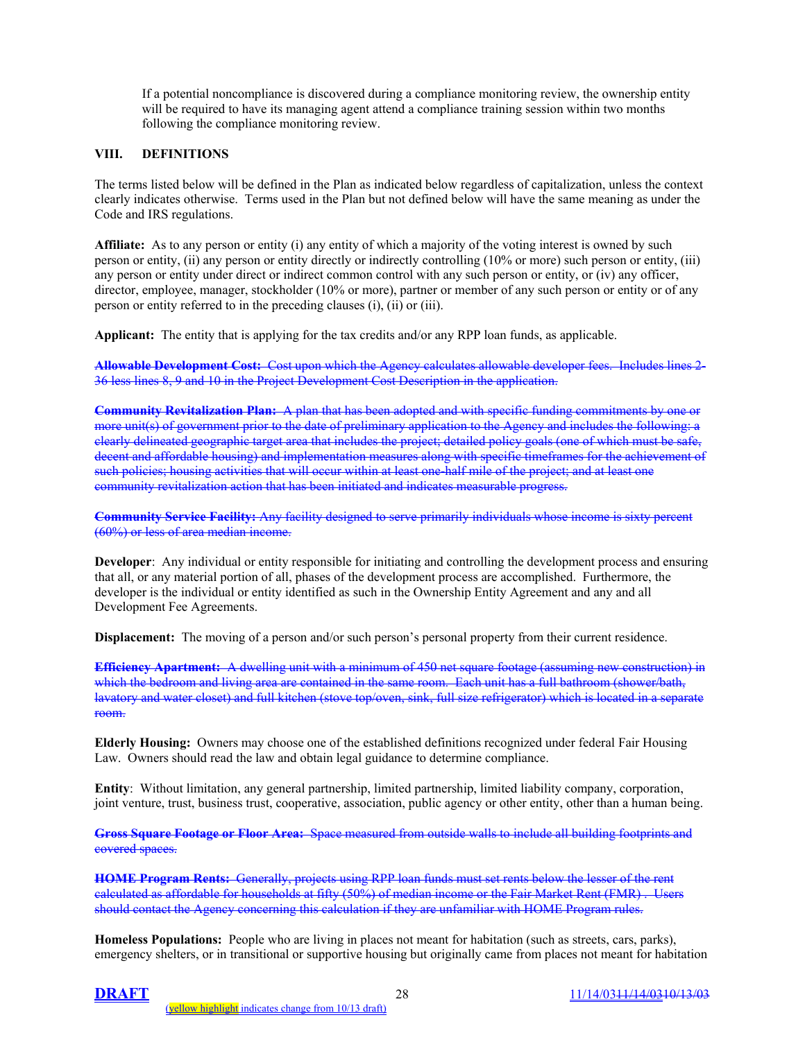If a potential noncompliance is discovered during a compliance monitoring review, the ownership entity will be required to have its managing agent attend a compliance training session within two months following the compliance monitoring review.

## **VIII. DEFINITIONS**

The terms listed below will be defined in the Plan as indicated below regardless of capitalization, unless the context clearly indicates otherwise. Terms used in the Plan but not defined below will have the same meaning as under the Code and IRS regulations.

**Affiliate:** As to any person or entity (i) any entity of which a majority of the voting interest is owned by such person or entity, (ii) any person or entity directly or indirectly controlling (10% or more) such person or entity, (iii) any person or entity under direct or indirect common control with any such person or entity, or (iv) any officer, director, employee, manager, stockholder (10% or more), partner or member of any such person or entity or of any person or entity referred to in the preceding clauses (i), (ii) or (iii).

**Applicant:** The entity that is applying for the tax credits and/or any RPP loan funds, as applicable.

**Allowable Development Cost:** Cost upon which the Agency calculates allowable developer fees. Includes lines 2- 36 less lines 8, 9 and 10 in the Project Development Cost Description in the application.

**Community Revitalization Plan:** A plan that has been adopted and with specific funding commitments by one or more unit(s) of government prior to the date of preliminary application to the Agency and includes the following: a clearly delineated geographic target area that includes the project; detailed policy goals (one of which must be safe, decent and affordable housing) and implementation measures along with specific timeframes for the achievement of such policies; housing activities that will occur within at least one-half mile of the project; and at least one community revitalization action that has been initiated and indicates measurable progress.

**Community Service Facility:** Any facility designed to serve primarily individuals whose income is sixty percent (60%) or less of area median income.

**Developer**: Any individual or entity responsible for initiating and controlling the development process and ensuring that all, or any material portion of all, phases of the development process are accomplished. Furthermore, the developer is the individual or entity identified as such in the Ownership Entity Agreement and any and all Development Fee Agreements.

**Displacement:** The moving of a person and/or such person's personal property from their current residence.

**Efficiency Apartment:** A dwelling unit with a minimum of 450 net square footage (assuming new construction) in which the bedroom and living area are contained in the same room. Each unit has a full bathroom (shower/bath, lavatory and water closet) and full kitchen (stove top/oven, sink, full size refrigerator) which is located in a separate room.

**Elderly Housing:** Owners may choose one of the established definitions recognized under federal Fair Housing Law. Owners should read the law and obtain legal guidance to determine compliance.

**Entity**: Without limitation, any general partnership, limited partnership, limited liability company, corporation, joint venture, trust, business trust, cooperative, association, public agency or other entity, other than a human being.

**Gross Square Footage or Floor Area:** Space measured from outside walls to include all building footprints and covered spaces.

**HOME Program Rents:** Generally, projects using RPP loan funds must set rents below the lesser of the rent calculated as affordable for households at fifty (50%) of median income or the Fair Market Rent (FMR) . Users should contact the Agency concerning this calculation if they are unfamiliar with HOME Program rules.

**Homeless Populations:** People who are living in places not meant for habitation (such as streets, cars, parks), emergency shelters, or in transitional or supportive housing but originally came from places not meant for habitation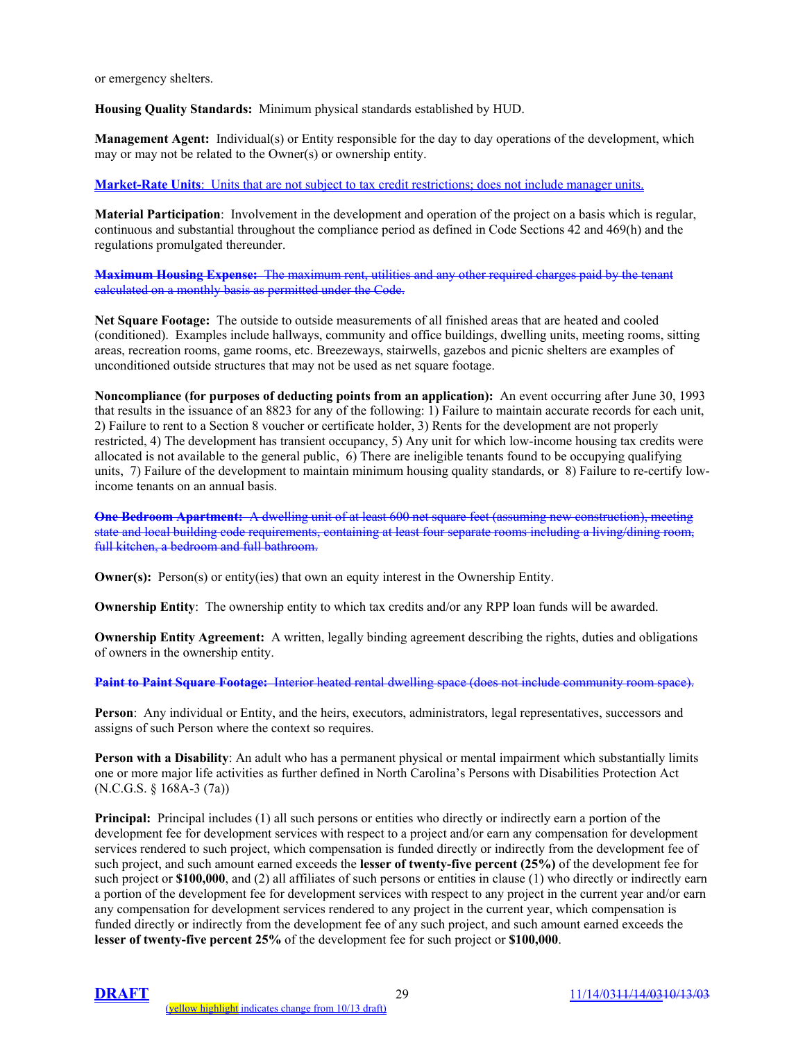or emergency shelters.

**Housing Quality Standards:** Minimum physical standards established by HUD.

**Management Agent:** Individual(s) or Entity responsible for the day to day operations of the development, which may or may not be related to the Owner(s) or ownership entity.

#### **Market-Rate Units**: Units that are not subject to tax credit restrictions; does not include manager units.

**Material Participation**: Involvement in the development and operation of the project on a basis which is regular, continuous and substantial throughout the compliance period as defined in Code Sections 42 and 469(h) and the regulations promulgated thereunder.

**Maximum Housing Expense:** The maximum rent, utilities and any other required charges paid by the tenant calculated on a monthly basis as permitted under the Code.

**Net Square Footage:** The outside to outside measurements of all finished areas that are heated and cooled (conditioned). Examples include hallways, community and office buildings, dwelling units, meeting rooms, sitting areas, recreation rooms, game rooms, etc. Breezeways, stairwells, gazebos and picnic shelters are examples of unconditioned outside structures that may not be used as net square footage.

**Noncompliance (for purposes of deducting points from an application):** An event occurring after June 30, 1993 that results in the issuance of an 8823 for any of the following: 1) Failure to maintain accurate records for each unit, 2) Failure to rent to a Section 8 voucher or certificate holder, 3) Rents for the development are not properly restricted, 4) The development has transient occupancy, 5) Any unit for which low-income housing tax credits were allocated is not available to the general public, 6) There are ineligible tenants found to be occupying qualifying units, 7) Failure of the development to maintain minimum housing quality standards, or 8) Failure to re-certify lowincome tenants on an annual basis.

**One Bedroom Apartment:** A dwelling unit of at least 600 net square feet (assuming new construction), meeting state and local building code requirements, containing at least four separate rooms including a living/dining room, full kitchen, a bedroom and full bathroom.

**Owner(s):** Person(s) or entity(ies) that own an equity interest in the Ownership Entity.

**Ownership Entity**: The ownership entity to which tax credits and/or any RPP loan funds will be awarded.

**Ownership Entity Agreement:** A written, legally binding agreement describing the rights, duties and obligations of owners in the ownership entity.

**Paint to Paint Square Footage:** Interior heated rental dwelling space (does not include community room space).

**Person**: Any individual or Entity, and the heirs, executors, administrators, legal representatives, successors and assigns of such Person where the context so requires.

**Person with a Disability**: An adult who has a permanent physical or mental impairment which substantially limits one or more major life activities as further defined in North Carolina's Persons with Disabilities Protection Act (N.C.G.S. § 168A-3 (7a))

**Principal:** Principal includes (1) all such persons or entities who directly or indirectly earn a portion of the development fee for development services with respect to a project and/or earn any compensation for development services rendered to such project, which compensation is funded directly or indirectly from the development fee of such project, and such amount earned exceeds the **lesser of twenty-five percent (25%)** of the development fee for such project or **\$100,000**, and (2) all affiliates of such persons or entities in clause (1) who directly or indirectly earn a portion of the development fee for development services with respect to any project in the current year and/or earn any compensation for development services rendered to any project in the current year, which compensation is funded directly or indirectly from the development fee of any such project, and such amount earned exceeds the **lesser of twenty-five percent 25%** of the development fee for such project or **\$100,000**.